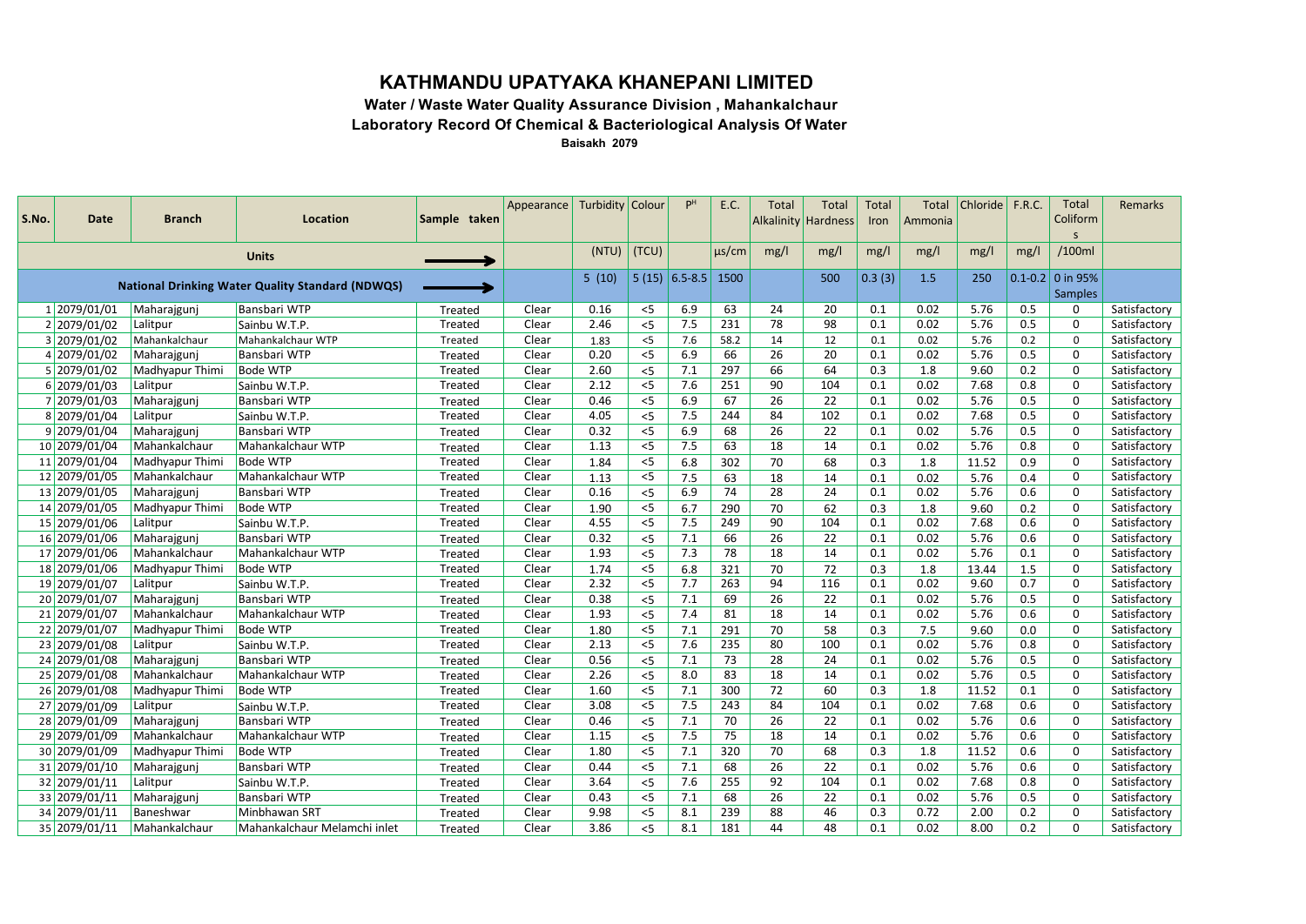## **KATHMANDU UPATYAKA KHANEPANI LIMITED**

**Water / Waste Water Quality Assurance Division , Mahankalchaur Laboratory Record Of Chemical & Bacteriological Analysis Of Water**

**Baisakh 2079**

|       |               |                 |                                                         |              | Appearance | Turbidity Colour |       | P <sup>H</sup>  | E.C.       | <b>Total</b> | Total                      | <b>Total</b> | Total   | Chloride   F.R.C. |      | Total                | Remarks      |
|-------|---------------|-----------------|---------------------------------------------------------|--------------|------------|------------------|-------|-----------------|------------|--------------|----------------------------|--------------|---------|-------------------|------|----------------------|--------------|
| S.No. | Date          | <b>Branch</b>   | Location                                                | Sample taken |            |                  |       |                 |            |              | <b>Alkalinity Hardness</b> | Iron         | Ammonia |                   |      | Coliform<br>S        |              |
|       |               |                 |                                                         |              |            | (NTU)            | (TCU) |                 | $\mu$ s/cm | mg/l         | mg/l                       | mg/l         | mg/l    | mg/l              | mg/l | /100ml               |              |
|       |               |                 | <b>Units</b>                                            |              |            |                  |       |                 |            |              |                            |              |         |                   |      |                      |              |
|       |               |                 | <b>National Drinking Water Quality Standard (NDWQS)</b> |              |            | 5(10)            |       | $5(15)$ 6.5-8.5 | 1500       |              | 500                        | 0.3(3)       | 1.5     | 250               |      | $0.1 - 0.2$ 0 in 95% |              |
|       |               |                 |                                                         |              |            |                  |       |                 |            |              |                            |              |         |                   |      | <b>Samples</b>       |              |
|       | 1 2079/01/01  | Maharajgunj     | Bansbari WTP                                            | Treated      | Clear      | 0.16             | $<$ 5 | 6.9             | 63         | 24           | 20                         | 0.1          | 0.02    | 5.76              | 0.5  | 0                    | Satisfactory |
|       | 2 2079/01/02  | Lalitpur        | Sainbu W.T.P.                                           | Treated      | Clear      | 2.46             | $<$ 5 | 7.5             | 231        | 78           | 98                         | 0.1          | 0.02    | 5.76              | 0.5  | 0                    | Satisfactory |
|       | 3 2079/01/02  | Mahankalchaur   | Mahankalchaur WTP                                       | Treated      | Clear      | 1.83             | < 5   | 7.6             | 58.2       | 14           | 12                         | 0.1          | 0.02    | 5.76              | 0.2  | $\mathbf 0$          | Satisfactory |
|       | 4 2079/01/02  | Maharajgunj     | <b>Bansbari WTP</b>                                     | Treated      | Clear      | 0.20             | < 5   | 6.9             | 66         | 26           | 20                         | 0.1          | 0.02    | 5.76              | 0.5  | 0                    | Satisfactory |
|       | 5 2079/01/02  | Madhyapur Thimi | <b>Bode WTP</b>                                         | Treated      | Clear      | 2.60             | < 5   | 7.1             | 297        | 66           | 64                         | 0.3          | 1.8     | 9.60              | 0.2  | 0                    | Satisfactory |
|       | 6 2079/01/03  | Lalitpur        | Sainbu W.T.P.                                           | Treated      | Clear      | 2.12             | $<$ 5 | 7.6             | 251        | 90           | 104                        | 0.1          | 0.02    | 7.68              | 0.8  | $\mathbf 0$          | Satisfactory |
|       | 7 2079/01/03  | Maharajgunj     | Bansbari WTP                                            | Treated      | Clear      | 0.46             | $<$ 5 | 6.9             | 67         | 26           | 22                         | 0.1          | 0.02    | 5.76              | 0.5  | 0                    | Satisfactory |
|       | 8 2079/01/04  | Lalitpur        | Sainbu W.T.P.                                           | Treated      | Clear      | 4.05             | < 5   | 7.5             | 244        | 84           | 102                        | 0.1          | 0.02    | 7.68              | 0.5  | 0                    | Satisfactory |
|       | 9 2079/01/04  | Maharajgunj     | <b>Bansbari WTP</b>                                     | Treated      | Clear      | 0.32             | $<$ 5 | 6.9             | 68         | 26           | 22                         | 0.1          | 0.02    | 5.76              | 0.5  | $\mathbf 0$          | Satisfactory |
|       | 10 2079/01/04 | Mahankalchaur   | Mahankalchaur WTP                                       | Treated      | Clear      | 1.13             | < 5   | 7.5             | 63         | 18           | 14                         | 0.1          | 0.02    | 5.76              | 0.8  | $\mathbf 0$          | Satisfactory |
|       | 11 2079/01/04 | Madhyapur Thimi | <b>Bode WTP</b>                                         | Treated      | Clear      | 1.84             | $<$ 5 | 6.8             | 302        | 70           | 68                         | 0.3          | 1.8     | 11.52             | 0.9  | 0                    | Satisfactory |
|       | 12 2079/01/05 | Mahankalchaur   | Mahankalchaur WTP                                       | Treated      | Clear      | 1.13             | $<$ 5 | 7.5             | 63         | 18           | 14                         | 0.1          | 0.02    | 5.76              | 0.4  | $\mathbf 0$          | Satisfactory |
|       | 13 2079/01/05 | Maharajgunj     | <b>Bansbari WTP</b>                                     | Treated      | Clear      | 0.16             | $<$ 5 | 6.9             | 74         | 28           | 24                         | 0.1          | 0.02    | 5.76              | 0.6  | $\mathbf 0$          | Satisfactory |
|       | 14 2079/01/05 | Madhyapur Thimi | <b>Bode WTP</b>                                         | Treated      | Clear      | 1.90             | $<$ 5 | 6.7             | 290        | 70           | 62                         | 0.3          | 1.8     | 9.60              | 0.2  | 0                    | Satisfactory |
|       | 15 2079/01/06 | Lalitpur        | Sainbu W.T.P.                                           | Treated      | Clear      | 4.55             | $<$ 5 | 7.5             | 249        | 90           | 104                        | 0.1          | 0.02    | 7.68              | 0.6  | $\mathbf 0$          | Satisfactory |
|       | 16 2079/01/06 | Maharajgunj     | <b>Bansbari WTP</b>                                     | Treated      | Clear      | 0.32             | $<$ 5 | 7.1             | 66         | 26           | 22                         | 0.1          | 0.02    | 5.76              | 0.6  | 0                    | Satisfactory |
|       | 17 2079/01/06 | Mahankalchaur   | Mahankalchaur WTP                                       | Treated      | Clear      | 1.93             | $<$ 5 | 7.3             | 78         | 18           | 14                         | 0.1          | 0.02    | 5.76              | 0.1  | $\mathbf 0$          | Satisfactory |
|       | 18 2079/01/06 | Madhyapur Thimi | <b>Bode WTP</b>                                         | Treated      | Clear      | 1.74             | $<$ 5 | 6.8             | 321        | 70           | 72                         | 0.3          | 1.8     | 13.44             | 1.5  | 0                    | Satisfactory |
|       | 19 2079/01/07 | Lalitpur        | Sainbu W.T.P.                                           | Treated      | Clear      | 2.32             | $<$ 5 | 7.7             | 263        | 94           | 116                        | 0.1          | 0.02    | 9.60              | 0.7  | 0                    | Satisfactory |
|       | 20 2079/01/07 | Maharajgunj     | <b>Bansbari WTP</b>                                     | Treated      | Clear      | 0.38             | < 5   | 7.1             | 69         | 26           | 22                         | 0.1          | 0.02    | 5.76              | 0.5  | 0                    | Satisfactory |
|       | 21 2079/01/07 | Mahankalchaur   | Mahankalchaur WTP                                       | Treated      | Clear      | 1.93             | $< 5$ | 7.4             | 81         | 18           | 14                         | 0.1          | 0.02    | 5.76              | 0.6  | 0                    | Satisfactory |
|       | 22 2079/01/07 | Madhyapur Thimi | <b>Bode WTP</b>                                         | Treated      | Clear      | 1.80             | $<$ 5 | 7.1             | 291        | 70           | 58                         | 0.3          | 7.5     | 9.60              | 0.0  | 0                    | Satisfactory |
|       | 23 2079/01/08 | Lalitpur        | Sainbu W.T.P.                                           | Treated      | Clear      | 2.13             | < 5   | 7.6             | 235        | 80           | 100                        | 0.1          | 0.02    | 5.76              | 0.8  | $\mathbf 0$          | Satisfactory |
|       | 24 2079/01/08 | Maharajgunj     | <b>Bansbari WTP</b>                                     | Treated      | Clear      | 0.56             | $<$ 5 | 7.1             | 73         | 28           | 24                         | 0.1          | 0.02    | 5.76              | 0.5  | 0                    | Satisfactory |
|       | 25 2079/01/08 | Mahankalchaur   | Mahankalchaur WTP                                       | Treated      | Clear      | 2.26             | $<$ 5 | 8.0             | 83         | 18           | 14                         | 0.1          | 0.02    | 5.76              | 0.5  | 0                    | Satisfactory |
|       | 26 2079/01/08 | Madhyapur Thimi | <b>Bode WTP</b>                                         | Treated      | Clear      | 1.60             | $<$ 5 | 7.1             | 300        | 72           | 60                         | 0.3          | 1.8     | 11.52             | 0.1  | $\mathbf 0$          | Satisfactory |
|       | 27 2079/01/09 | Lalitpur        | Sainbu W.T.P.                                           | Treated      | Clear      | 3.08             | $<$ 5 | 7.5             | 243        | 84           | 104                        | 0.1          | 0.02    | 7.68              | 0.6  | 0                    | Satisfactory |
|       | 28 2079/01/09 | Maharajgunj     | Bansbari WTP                                            | Treated      | Clear      | 0.46             | $<$ 5 | 7.1             | 70         | 26           | 22                         | 0.1          | 0.02    | 5.76              | 0.6  | 0                    | Satisfactory |
|       | 29 2079/01/09 | Mahankalchaur   | Mahankalchaur WTP                                       | Treated      | Clear      | 1.15             | $<$ 5 | 7.5             | 75         | 18           | 14                         | 0.1          | 0.02    | 5.76              | 0.6  | 0                    | Satisfactory |
|       | 30 2079/01/09 | Madhyapur Thimi | <b>Bode WTP</b>                                         | Treated      | Clear      | 1.80             | < 5   | 7.1             | 320        | 70           | 68                         | 0.3          | 1.8     | 11.52             | 0.6  | 0                    | Satisfactory |
|       | 31 2079/01/10 | Maharajgunj     | <b>Bansbari WTP</b>                                     | Treated      | Clear      | 0.44             | $<$ 5 | 7.1             | 68         | 26           | 22                         | 0.1          | 0.02    | 5.76              | 0.6  | $\mathbf 0$          | Satisfactory |
|       | 32 2079/01/11 | Lalitpur        | Sainbu W.T.P.                                           | Treated      | Clear      | 3.64             | $<$ 5 | 7.6             | 255        | 92           | 104                        | 0.1          | 0.02    | 7.68              | 0.8  | 0                    | Satisfactory |
|       | 33 2079/01/11 | Maharajgunj     | <b>Bansbari WTP</b>                                     | Treated      | Clear      | 0.43             | $<$ 5 | 7.1             | 68         | 26           | 22                         | 0.1          | 0.02    | 5.76              | 0.5  | 0                    | Satisfactory |
|       | 34 2079/01/11 | Baneshwar       | Minbhawan SRT                                           | Treated      | Clear      | 9.98             | < 5   | 8.1             | 239        | 88           | 46                         | 0.3          | 0.72    | 2.00              | 0.2  | $\mathbf 0$          | Satisfactory |
|       | 35 2079/01/11 | Mahankalchaur   | Mahankalchaur Melamchi inlet                            | Treated      | Clear      | 3.86             | < 5   | 8.1             | 181        | 44           | 48                         | 0.1          | 0.02    | 8.00              | 0.2  | $\mathbf 0$          | Satisfactory |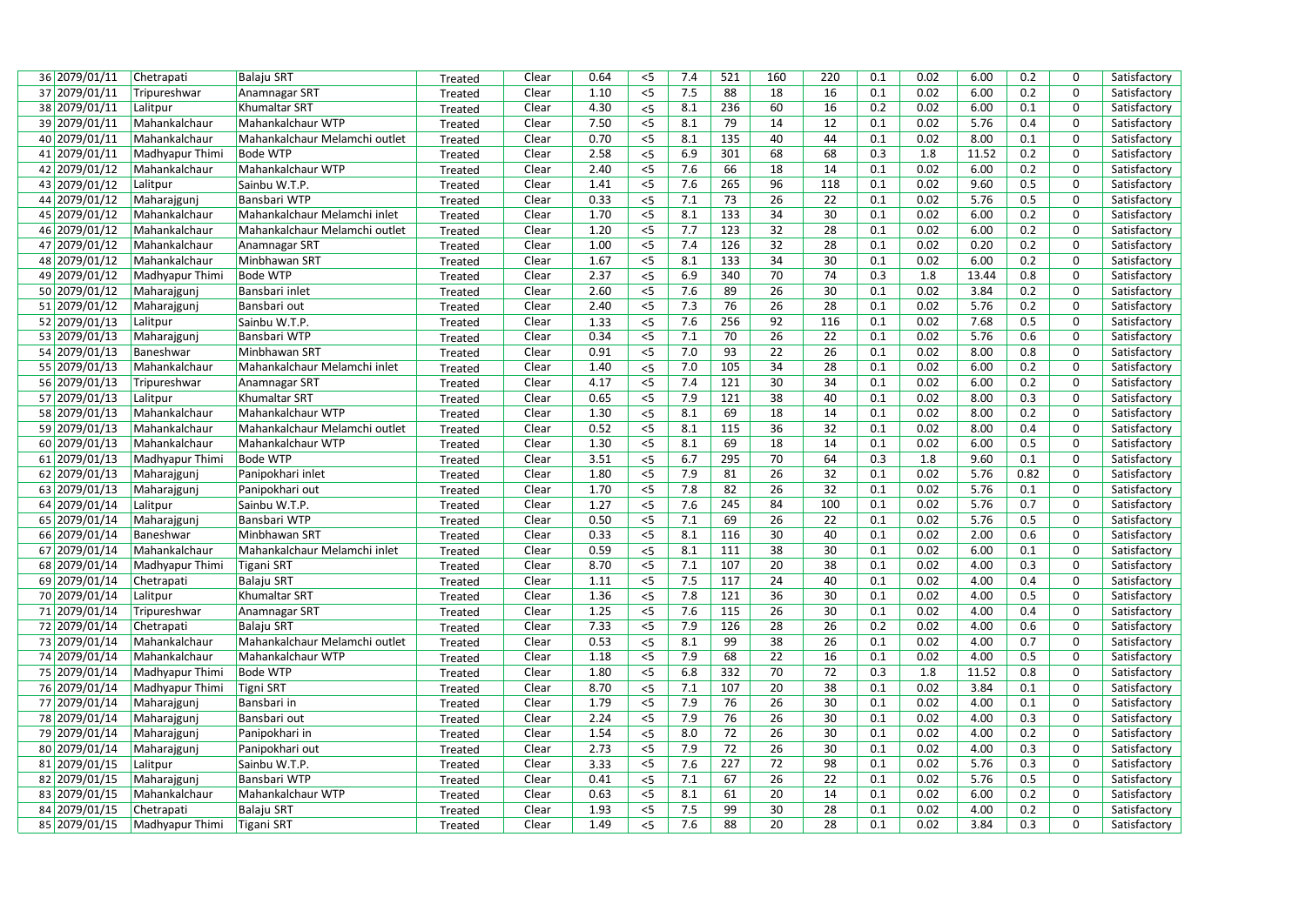| 36 2079/01/11 | Chetrapati                 | <b>Balaju SRT</b>             | Treated | Clear | 0.64 | $<$ 5          | 7.4 | 521             | 160             | 220 | 0.1 | 0.02 | 6.00  | 0.2  | $\mathbf 0$    | Satisfactory |
|---------------|----------------------------|-------------------------------|---------|-------|------|----------------|-----|-----------------|-----------------|-----|-----|------|-------|------|----------------|--------------|
| 37 2079/01/11 | Tripureshwar               | Anamnagar SRT                 | Treated | Clear | 1.10 | $<$ 5          | 7.5 | 88              | 18              | 16  | 0.1 | 0.02 | 6.00  | 0.2  | 0              | Satisfactory |
| 38 2079/01/11 | Lalitpur                   | Khumaltar SRT                 | Treated | Clear | 4.30 | $<$ 5          | 8.1 | 236             | 60              | 16  | 0.2 | 0.02 | 6.00  | 0.1  | 0              | Satisfactory |
| 39 2079/01/11 | Mahankalchaur              | Mahankalchaur WTP             | Treated | Clear | 7.50 | $<$ 5          | 8.1 | 79              | 14              | 12  | 0.1 | 0.02 | 5.76  | 0.4  | 0              | Satisfactory |
| 40 2079/01/11 | Mahankalchaur              | Mahankalchaur Melamchi outlet | Treated | Clear | 0.70 | $<$ 5          | 8.1 | 135             | 40              | 44  | 0.1 | 0.02 | 8.00  | 0.1  | 0              | Satisfactory |
| 41 2079/01/11 | Madhyapur Thimi            | <b>Bode WTP</b>               | Treated | Clear | 2.58 | $<$ 5          | 6.9 | 301             | 68              | 68  | 0.3 | 1.8  | 11.52 | 0.2  | 0              | Satisfactory |
| 42 2079/01/12 | Mahankalchaur              | Mahankalchaur WTP             | Treated | Clear | 2.40 | $< 5$          | 7.6 | 66              | 18              | 14  | 0.1 | 0.02 | 6.00  | 0.2  | 0              | Satisfactory |
| 43 2079/01/12 | Lalitpur                   | Sainbu W.T.P.                 | Treated | Clear | 1.41 | $<$ 5          | 7.6 | 265             | 96              | 118 | 0.1 | 0.02 | 9.60  | 0.5  | 0              | Satisfactory |
| 44 2079/01/12 | Maharajgunj                | <b>Bansbari WTP</b>           | Treated | Clear | 0.33 | $\overline{5}$ | 7.1 | 73              | 26              | 22  | 0.1 | 0.02 | 5.76  | 0.5  | 0              | Satisfactory |
| 45 2079/01/12 | Mahankalchaur              | Mahankalchaur Melamchi inlet  | Treated | Clear | 1.70 | $< 5$          | 8.1 | 133             | 34              | 30  | 0.1 | 0.02 | 6.00  | 0.2  | 0              | Satisfactory |
| 46 2079/01/12 | Mahankalchaur              | Mahankalchaur Melamchi outlet | Treated | Clear | 1.20 | $<$ 5          | 7.7 | 123             | 32              | 28  | 0.1 | 0.02 | 6.00  | 0.2  | $\mathbf 0$    | Satisfactory |
| 47 2079/01/12 | Mahankalchaur              | Anamnagar SRT                 | Treated | Clear | 1.00 | $<$ 5          | 7.4 | 126             | $\overline{32}$ | 28  | 0.1 | 0.02 | 0.20  | 0.2  | 0              | Satisfactory |
| 48 2079/01/12 | Mahankalchaur              | Minbhawan SRT                 | Treated | Clear | 1.67 | $<$ 5          | 8.1 | 133             | 34              | 30  | 0.1 | 0.02 | 6.00  | 0.2  | 0              | Satisfactory |
| 49 2079/01/12 | Madhyapur Thimi            | <b>Bode WTP</b>               | Treated | Clear | 2.37 | $<$ 5          | 6.9 | 340             | 70              | 74  | 0.3 | 1.8  | 13.44 | 0.8  | 0              | Satisfactory |
| 50 2079/01/12 | Maharajgunj                | Bansbari inlet                | Treated | Clear | 2.60 | $<$ 5          | 7.6 | 89              | 26              | 30  | 0.1 | 0.02 | 3.84  | 0.2  | 0              | Satisfactory |
| 51 2079/01/12 | Maharajgunj                | Bansbari out                  | Treated | Clear | 2.40 | $<$ 5          | 7.3 | 76              | 26              | 28  | 0.1 | 0.02 | 5.76  | 0.2  | 0              | Satisfactory |
| 52 2079/01/13 | Lalitpur                   | Sainbu W.T.P.                 | Treated | Clear | 1.33 | $<$ 5          | 7.6 | 256             | 92              | 116 | 0.1 | 0.02 | 7.68  | 0.5  | $\overline{0}$ | Satisfactory |
| 53 2079/01/13 | Maharajgunj                | Bansbari WTP                  | Treated | Clear | 0.34 | $\overline{5}$ | 7.1 | 70              | 26              | 22  | 0.1 | 0.02 | 5.76  | 0.6  | $\overline{0}$ | Satisfactory |
| 54 2079/01/13 | Baneshwar                  | Minbhawan SRT                 | Treated | Clear | 0.91 | $\overline{5}$ | 7.0 | 93              | 22              | 26  | 0.1 | 0.02 | 8.00  | 0.8  | $\mathbf 0$    | Satisfactory |
| 55 2079/01/13 | Mahankalchaur              | Mahankalchaur Melamchi inlet  | Treated | Clear | 1.40 | $<$ 5          | 7.0 | 105             | 34              | 28  | 0.1 | 0.02 | 6.00  | 0.2  | $\mathbf 0$    | Satisfactory |
| 56 2079/01/13 | Tripureshwar               | Anamnagar SRT                 | Treated | Clear | 4.17 | $<$ 5          | 7.4 | 121             | 30              | 34  | 0.1 | 0.02 | 6.00  | 0.2  | $\mathbf 0$    | Satisfactory |
| 57 2079/01/13 | Lalitpur                   | Khumaltar SRT                 | Treated | Clear | 0.65 | $\overline{5}$ | 7.9 | 121             | $\overline{38}$ | 40  | 0.1 | 0.02 | 8.00  | 0.3  | 0              | Satisfactory |
| 58 2079/01/13 | Mahankalchaur              | Mahankalchaur WTP             | Treated | Clear | 1.30 | $\overline{5}$ | 8.1 | 69              | $\overline{18}$ | 14  | 0.1 | 0.02 | 8.00  | 0.2  | 0              | Satisfactory |
| 59 2079/01/13 | Mahankalchaur              | Mahankalchaur Melamchi outlet | Treated | Clear | 0.52 | $\overline{5}$ | 8.1 | 115             | 36              | 32  | 0.1 | 0.02 | 8.00  | 0.4  | 0              | Satisfactory |
| 60 2079/01/13 | Mahankalchaur              | Mahankalchaur WTP             | Treated | Clear | 1.30 | $<$ 5          | 8.1 | 69              | 18              | 14  | 0.1 | 0.02 | 6.00  | 0.5  | $\mathbf 0$    | Satisfactory |
| 61 2079/01/13 | Madhyapur Thimi            | <b>Bode WTP</b>               | Treated | Clear | 3.51 | $<$ 5          | 6.7 | 295             | 70              | 64  | 0.3 | 1.8  | 9.60  | 0.1  | 0              | Satisfactory |
| 62 2079/01/13 | Maharajgunj                | Panipokhari inlet             | Treated | Clear | 1.80 | $\overline{5}$ | 7.9 | 81              | 26              | 32  | 0.1 | 0.02 | 5.76  | 0.82 | $\mathbf 0$    | Satisfactory |
| 63 2079/01/13 | Maharajgunj                | Panipokhari out               | Treated | Clear | 1.70 | $<$ 5          | 7.8 | 82              | 26              | 32  | 0.1 | 0.02 | 5.76  | 0.1  | 0              | Satisfactory |
| 64 2079/01/14 | Lalitpur                   | Sainbu W.T.P.                 | Treated | Clear | 1.27 | $<$ 5          | 7.6 | 245             | 84              | 100 | 0.1 | 0.02 | 5.76  | 0.7  | 0              | Satisfactory |
| 65 2079/01/14 | Maharajgunj                | <b>Bansbari WTP</b>           | Treated | Clear | 0.50 | $\overline{5}$ | 7.1 | 69              | 26              | 22  | 0.1 | 0.02 | 5.76  | 0.5  | 0              | Satisfactory |
| 66 2079/01/14 | Baneshwar                  | Minbhawan SRT                 | Treated | Clear | 0.33 | $\overline{5}$ | 8.1 | 116             | 30              | 40  | 0.1 | 0.02 | 2.00  | 0.6  | $\mathbf 0$    | Satisfactory |
| 67 2079/01/14 | Mahankalchaur              | Mahankalchaur Melamchi inlet  | Treated | Clear | 0.59 | $\overline{5}$ | 8.1 | 111             | $\overline{38}$ | 30  | 0.1 | 0.02 | 6.00  | 0.1  | $\pmb{0}$      | Satisfactory |
| 68 2079/01/14 | Madhyapur Thimi            | Tigani SRT                    | Treated | Clear | 8.70 | $\overline{5}$ | 7.1 | 107             | 20              | 38  | 0.1 | 0.02 | 4.00  | 0.3  | 0              | Satisfactory |
| 69 2079/01/14 | Chetrapati                 | <b>Balaju SRT</b>             | Treated | Clear | 1.11 | $\overline{5}$ | 7.5 | 117             | 24              | 40  | 0.1 | 0.02 | 4.00  | 0.4  | $\mathbf 0$    | Satisfactory |
| 70 2079/01/14 | Lalitpur                   | <b>Khumaltar SRT</b>          | Treated | Clear | 1.36 | $< 5$          | 7.8 | 121             | 36              | 30  | 0.1 | 0.02 | 4.00  | 0.5  | 0              | Satisfactory |
| 71 2079/01/14 | Tripureshwar               | Anamnagar SRT                 | Treated | Clear | 1.25 | $<$ 5          | 7.6 | 115             | 26              | 30  | 0.1 | 0.02 | 4.00  | 0.4  | $\pmb{0}$      | Satisfactory |
| 72 2079/01/14 | Chetrapati                 | <b>Balaju SRT</b>             | Treated | Clear | 7.33 | $\overline{5}$ | 7.9 | 126             | 28              | 26  | 0.2 | 0.02 | 4.00  | 0.6  | 0              | Satisfactory |
| 73 2079/01/14 | Mahankalchaur              | Mahankalchaur Melamchi outlet | Treated | Clear | 0.53 | $< 5$          | 8.1 | 99              | 38              | 26  | 0.1 | 0.02 | 4.00  | 0.7  | $\pmb{0}$      | Satisfactory |
| 74 2079/01/14 | Mahankalchaur              | Mahankalchaur WTP             | Treated | Clear | 1.18 | $\overline{5}$ | 7.9 | 68              | 22              | 16  | 0.1 | 0.02 | 4.00  | 0.5  | $\mathbf 0$    | Satisfactory |
| 75 2079/01/14 | Madhyapur Thimi            | <b>Bode WTP</b>               | Treated | Clear | 1.80 | $<$ 5          | 6.8 | 332             | 70              | 72  | 0.3 | 1.8  | 11.52 | 0.8  | $\mathbf 0$    | Satisfactory |
| 76 2079/01/14 | Madhyapur Thimi            | Tigni SRT                     | Treated | Clear | 8.70 | $<$ 5          | 7.1 | 107             | 20              | 38  | 0.1 | 0.02 | 3.84  | 0.1  | $\mathbf 0$    | Satisfactory |
| 77 2079/01/14 | Maharajgunj                | Bansbari in                   | Treated | Clear | 1.79 | $<$ 5          | 7.9 | 76              | 26              | 30  | 0.1 | 0.02 | 4.00  | 0.1  | $\mathbf 0$    | Satisfactory |
| 78 2079/01/14 | Maharajgunj                | Bansbari out                  | Treated | Clear | 2.24 | $<$ 5          | 7.9 | 76              | 26              | 30  | 0.1 | 0.02 | 4.00  | 0.3  | 0              | Satisfactory |
| 79 2079/01/14 | Maharajgunj                | Panipokhari in                | Treated | Clear | 1.54 | 5<             | 8.0 | $\overline{72}$ | 26              | 30  | 0.1 | 0.02 | 4.00  | 0.2  | $\mathbf 0$    | Satisfactory |
| 80 2079/01/14 | Maharajgunj                | Panipokhari out               | Treated | Clear | 2.73 | $<$ 5          | 7.9 | 72              | 26              | 30  | 0.1 | 0.02 | 4.00  | 0.3  | $\pmb{0}$      | Satisfactory |
| 81 2079/01/15 | Lalitpur                   | Sainbu W.T.P.                 | Treated | Clear | 3.33 | $<$ 5          | 7.6 | 227             | 72              | 98  | 0.1 | 0.02 | 5.76  | 0.3  | 0              | Satisfactory |
| 82 2079/01/15 | Maharajgunj                | <b>Bansbari WTP</b>           | Treated | Clear | 0.41 | $< 5$          | 7.1 | 67              | 26              | 22  | 0.1 | 0.02 | 5.76  | 0.5  | 0              | Satisfactory |
| 83 2079/01/15 | Mahankalchaur              | Mahankalchaur WTP             | Treated | Clear | 0.63 | $< 5$          | 8.1 | 61              | 20              | 14  | 0.1 | 0.02 | 6.00  | 0.2  | 0              | Satisfactory |
| 84 2079/01/15 | Chetrapati                 | <b>Balaju SRT</b>             | Treated | Clear | 1.93 | $<$ 5          | 7.5 | 99              | 30              | 28  | 0.1 | 0.02 | 4.00  | 0.2  | 0              | Satisfactory |
| 85 2079/01/15 | Madhyapur Thimi Tigani SRT |                               | Treated | Clear | 1.49 | $<$ 5          | 7.6 | 88              | 20              | 28  | 0.1 | 0.02 | 3.84  | 0.3  | $\Omega$       | Satisfactory |
|               |                            |                               |         |       |      |                |     |                 |                 |     |     |      |       |      |                |              |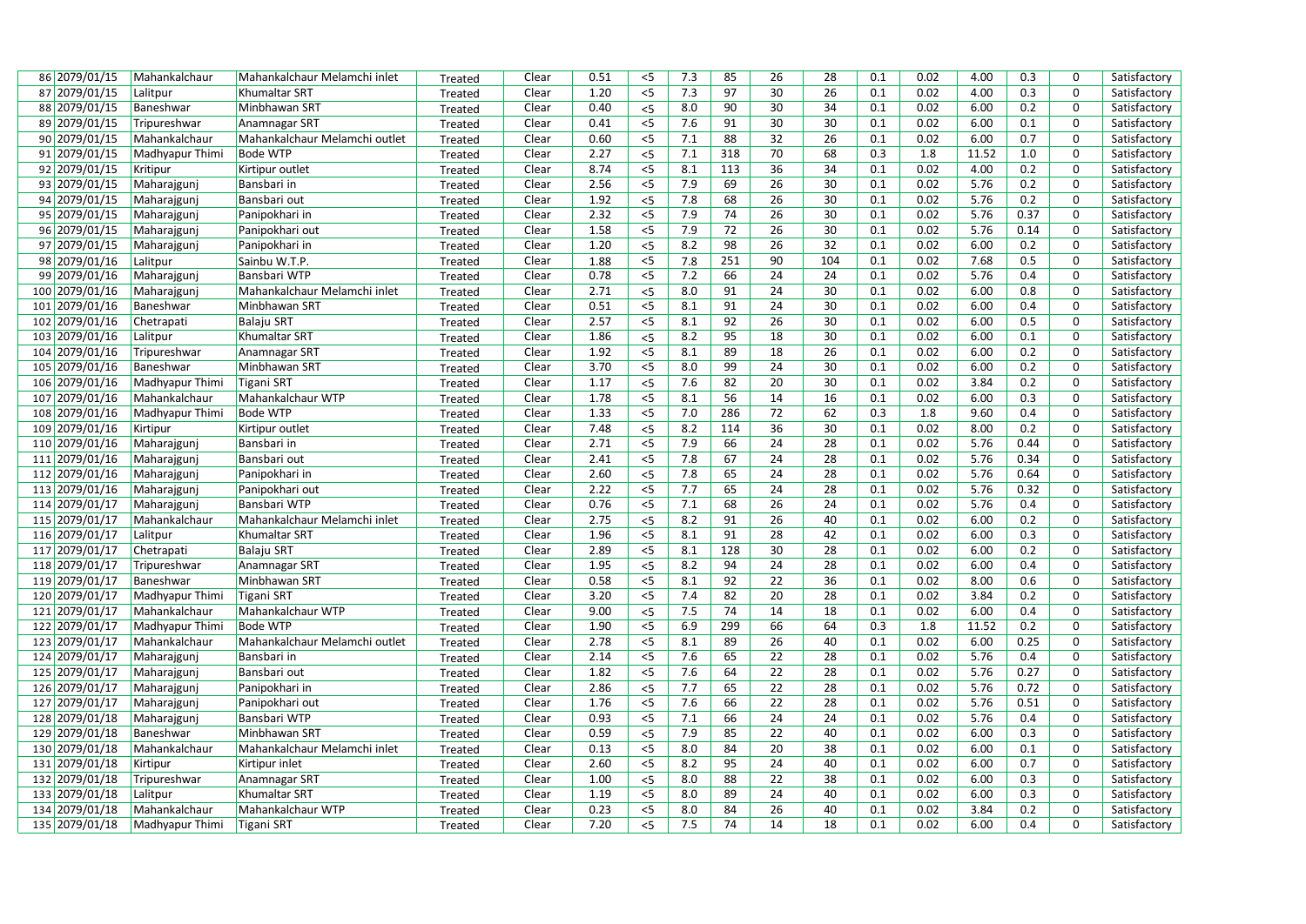| 86 2079/01/15  |                           |                                               |         |                | 0.51 | < 5   | 7.3 | 85  | 26 | 28  | 0.1 | 0.02 | 4.00         | 0.3  | $\mathbf 0$    |              |
|----------------|---------------------------|-----------------------------------------------|---------|----------------|------|-------|-----|-----|----|-----|-----|------|--------------|------|----------------|--------------|
| 87 2079/01/15  | Mahankalchaur<br>Lalitpur | Mahankalchaur Melamchi inlet<br>Khumaltar SRT | Treated | Clear<br>Clear | 1.20 | $<$ 5 | 7.3 | 97  | 30 | 26  | 0.1 | 0.02 | 4.00         | 0.3  | $\mathbf 0$    | Satisfactory |
| 88 2079/01/15  |                           | Minbhawan SRT                                 | Treated |                | 0.40 |       | 8.0 | 90  | 30 | 34  | 0.1 | 0.02 | 6.00         | 0.2  | $\mathbf 0$    | Satisfactory |
|                | Baneshwar                 |                                               | Treated | Clear          |      | $<$ 5 |     |     |    |     |     |      |              |      | $\mathbf 0$    | Satisfactory |
| 89 2079/01/15  | Tripureshwar              | Anamnagar SRT                                 | Treated | Clear          | 0.41 | $<$ 5 | 7.6 | 91  | 30 | 30  | 0.1 | 0.02 | 6.00         | 0.1  |                | Satisfactory |
| 90 2079/01/15  | Mahankalchaur             | Mahankalchaur Melamchi outlet                 | Treated | Clear          | 0.60 | $<$ 5 | 7.1 | 88  | 32 | 26  | 0.1 | 0.02 | 6.00         | 0.7  | $\mathbf 0$    | Satisfactory |
| 91 2079/01/15  | Madhyapur Thimi           | <b>Bode WTP</b>                               | Treated | Clear          | 2.27 | < 5   | 7.1 | 318 | 70 | 68  | 0.3 | 1.8  | 11.52        | 1.0  | $\mathbf 0$    | Satisfactory |
| 92 2079/01/15  | Kritipur                  | Kirtipur outlet                               | Treated | Clear          | 8.74 | $<$ 5 | 8.1 | 113 | 36 | 34  | 0.1 | 0.02 | 4.00         | 0.2  | $\mathbf 0$    | Satisfactory |
| 93 2079/01/15  | Maharajgunj               | Bansbari in                                   | Treated | Clear          | 2.56 | $< 5$ | 7.9 | 69  | 26 | 30  | 0.1 | 0.02 | 5.76         | 0.2  | 0              | Satisfactory |
| 94 2079/01/15  | Maharajgunj               | Bansbari out                                  | Treated | Clear          | 1.92 | $<$ 5 | 7.8 | 68  | 26 | 30  | 0.1 | 0.02 | 5.76         | 0.2  | $\mathbf 0$    | Satisfactory |
| 95 2079/01/15  | Maharajgunj               | Panipokhari in                                | Treated | Clear          | 2.32 | $<$ 5 | 7.9 | 74  | 26 | 30  | 0.1 | 0.02 | 5.76         | 0.37 | $\mathbf 0$    | Satisfactory |
| 96 2079/01/15  | Maharajgunj               | Panipokhari out                               | Treated | Clear          | 1.58 | $< 5$ | 7.9 | 72  | 26 | 30  | 0.1 | 0.02 | 5.76         | 0.14 | $\mathbf 0$    | Satisfactory |
| 97 2079/01/15  | Maharajgunj               | Panipokhari in                                | Treated | Clear          | 1.20 | $<$ 5 | 8.2 | 98  | 26 | 32  | 0.1 | 0.02 | 6.00         | 0.2  | 0              | Satisfactory |
| 98 2079/01/16  | Lalitpur                  | Sainbu W.T.P.                                 | Treated | Clear          | 1.88 | $<$ 5 | 7.8 | 251 | 90 | 104 | 0.1 | 0.02 | 7.68         | 0.5  | $\mathbf 0$    | Satisfactory |
| 99 2079/01/16  | Maharajgunj               | Bansbari WTP                                  | Treated | Clear          | 0.78 | $< 5$ | 7.2 | 66  | 24 | 24  | 0.1 | 0.02 | 5.76         | 0.4  | $\mathbf 0$    | Satisfactory |
| 100 2079/01/16 | Maharajgunj               | Mahankalchaur Melamchi inlet                  | Treated | Clear          | 2.71 | $<$ 5 | 8.0 | 91  | 24 | 30  | 0.1 | 0.02 | 6.00         | 0.8  | $\mathbf 0$    | Satisfactory |
| 101 2079/01/16 | Baneshwar                 | Minbhawan SRT                                 | Treated | Clear          | 0.51 | $< 5$ | 8.1 | 91  | 24 | 30  | 0.1 | 0.02 | 6.00         | 0.4  | $\mathbf 0$    | Satisfactory |
| 102 2079/01/16 | Chetrapati                | <b>Balaju SRT</b>                             | Treated | Clear          | 2.57 | $5$   | 8.1 | 92  | 26 | 30  | 0.1 | 0.02 | 6.00         | 0.5  | $\overline{0}$ | Satisfactory |
| 103 2079/01/16 | Lalitpur                  | Khumaltar SRT                                 | Treated | Clear          | 1.86 | $<$ 5 | 8.2 | 95  | 18 | 30  | 0.1 | 0.02 | 6.00         | 0.1  | $\mathbf 0$    | Satisfactory |
| 104 2079/01/16 | Tripureshwar              | Anamnagar SRT                                 | Treated | Clear          | 1.92 | $< 5$ | 8.1 | 89  | 18 | 26  | 0.1 | 0.02 | 6.00         | 0.2  | $\mathbf 0$    | Satisfactory |
| 105 2079/01/16 | Baneshwar                 | Minbhawan SRT                                 | Treated | Clear          | 3.70 | $<$ 5 | 8.0 | 99  | 24 | 30  | 0.1 | 0.02 | 6.00         | 0.2  | $\mathbf 0$    | Satisfactory |
| 106 2079/01/16 | Madhyapur Thimi           | <b>Tigani SRT</b>                             | Treated | Clear          | 1.17 | $<$ 5 | 7.6 | 82  | 20 | 30  | 0.1 | 0.02 | 3.84         | 0.2  | $\mathbf 0$    | Satisfactory |
| 107 2079/01/16 | Mahankalchaur             | Mahankalchaur WTP                             | Treated | Clear          | 1.78 | $5$   | 8.1 | 56  | 14 | 16  | 0.1 | 0.02 | 6.00         | 0.3  | $\mathbf 0$    | Satisfactory |
| 108 2079/01/16 | Madhyapur Thimi           | <b>Bode WTP</b>                               | Treated | Clear          | 1.33 | $<$ 5 | 7.0 | 286 | 72 | 62  | 0.3 | 1.8  | 9.60         | 0.4  | $\mathbf 0$    | Satisfactory |
| 109 2079/01/16 | Kirtipur                  | Kirtipur outlet                               | Treated | Clear          | 7.48 | $<$ 5 | 8.2 | 114 | 36 | 30  | 0.1 | 0.02 | 8.00         | 0.2  | $\mathbf 0$    | Satisfactory |
| 110 2079/01/16 | Maharajgunj               | Bansbari in                                   | Treated | Clear          | 2.71 | $< 5$ | 7.9 | 66  | 24 | 28  | 0.1 | 0.02 | 5.76         | 0.44 | 0              | Satisfactory |
| 111 2079/01/16 | Maharajgunj               | Bansbari out                                  | Treated | Clear          | 2.41 | $< 5$ | 7.8 | 67  | 24 | 28  | 0.1 | 0.02 | 5.76         | 0.34 | $\mathbf 0$    | Satisfactory |
| 112 2079/01/16 | Maharajgunj               | Panipokhari in                                | Treated | Clear          | 2.60 | 5     | 7.8 | 65  | 24 | 28  | 0.1 | 0.02 | 5.76         | 0.64 | $\mathbf 0$    | Satisfactory |
| 113 2079/01/16 | Maharajgunj               | Panipokhari out                               | Treated | Clear          | 2.22 | $<$ 5 | 7.7 | 65  | 24 | 28  | 0.1 | 0.02 | 5.76         | 0.32 | $\mathbf 0$    | Satisfactory |
| 114 2079/01/17 | Maharajgunj               | Bansbari WTP                                  | Treated | Clear          | 0.76 | $< 5$ | 7.1 | 68  | 26 | 24  | 0.1 | 0.02 | 5.76         | 0.4  | $\mathbf 0$    | Satisfactory |
| 115 2079/01/17 | Mahankalchaur             | Mahankalchaur Melamchi inlet                  | Treated | Clear          | 2.75 | $<$ 5 | 8.2 | 91  | 26 | 40  | 0.1 | 0.02 | 6.00         | 0.2  | $\mathbf 0$    | Satisfactory |
| 116 2079/01/17 | Lalitpur                  | Khumaltar SRT                                 | Treated | Clear          | 1.96 | $< 5$ | 8.1 | 91  | 28 | 42  | 0.1 | 0.02 | 6.00         | 0.3  | $\mathbf 0$    | Satisfactory |
| 117 2079/01/17 | Chetrapati                | <b>Balaju SRT</b>                             | Treated | Clear          | 2.89 | $< 5$ | 8.1 | 128 | 30 | 28  | 0.1 | 0.02 | 6.00         | 0.2  | $\mathbf 0$    | Satisfactory |
| 118 2079/01/17 | Tripureshwar              | Anamnagar SRT                                 | Treated | Clear          | 1.95 | $<$ 5 | 8.2 | 94  | 24 | 28  | 0.1 | 0.02 | 6.00         | 0.4  | 0              | Satisfactory |
| 119 2079/01/17 | Baneshwar                 | Minbhawan SRT                                 | Treated | Clear          | 0.58 | $< 5$ | 8.1 | 92  | 22 | 36  | 0.1 | 0.02 | 8.00         | 0.6  | 0              | Satisfactory |
| 120 2079/01/17 | Madhyapur Thimi           | <b>Tigani SRT</b>                             | Treated | Clear          | 3.20 | $< 5$ | 7.4 | 82  | 20 | 28  | 0.1 | 0.02 | 3.84         | 0.2  | $\mathbf 0$    | Satisfactory |
| 121 2079/01/17 | Mahankalchaur             | Mahankalchaur WTP                             | Treated | Clear          | 9.00 | $< 5$ | 7.5 | 74  | 14 | 18  | 0.1 | 0.02 | 6.00         | 0.4  | 0              | Satisfactory |
| 122 2079/01/17 | Madhyapur Thimi           | <b>Bode WTP</b>                               |         | Clear          | 1.90 | $< 5$ | 6.9 | 299 | 66 | 64  | 0.3 | 1.8  | 11.52        | 0.2  | $\mathbf 0$    | Satisfactory |
| 123 2079/01/17 | Mahankalchaur             | Mahankalchaur Melamchi outlet                 | Treated | Clear          | 2.78 | $<$ 5 | 8.1 | 89  | 26 | 40  | 0.1 | 0.02 | 6.00         | 0.25 | 0              | Satisfactory |
| 124 2079/01/17 | Maharajgunj               | Bansbari in                                   | Treated | Clear          | 2.14 | $<$ 5 | 7.6 | 65  | 22 | 28  | 0.1 | 0.02 | 5.76         | 0.4  | $\mathbf 0$    | Satisfactory |
| 125 2079/01/17 |                           | Bansbari out                                  | Treated |                | 1.82 | $< 5$ | 7.6 | 64  | 22 | 28  | 0.1 | 0.02 |              | 0.27 | $\mathbf 0$    |              |
|                | Maharajgunj               |                                               | Treated | Clear          | 2.86 |       | 7.7 | 65  | 22 | 28  | 0.1 | 0.02 | 5.76<br>5.76 | 0.72 | $\mathbf 0$    | Satisfactory |
| 126 2079/01/17 | Maharajgunj               | Panipokhari in                                | Treated | Clear          |      | $< 5$ |     |     |    |     |     |      |              |      | $\mathbf 0$    | Satisfactory |
| 127 2079/01/17 | Maharajgunj               | Panipokhari out                               | Treated | Clear          | 1.76 | $< 5$ | 7.6 | 66  | 22 | 28  | 0.1 | 0.02 | 5.76         | 0.51 |                | Satisfactory |
| 128 2079/01/18 | Maharajgunj               | Bansbari WTP                                  | Treated | Clear          | 0.93 | $< 5$ | 7.1 | 66  | 24 | 24  | 0.1 | 0.02 | 5.76         | 0.4  | $\mathbf 0$    | Satisfactory |
| 129 2079/01/18 | Baneshwar                 | Minbhawan SRT                                 | Treated | Clear          | 0.59 | $< 5$ | 7.9 | 85  | 22 | 40  | 0.1 | 0.02 | 6.00         | 0.3  | $\mathbf 0$    | Satisfactory |
| 130 2079/01/18 | Mahankalchaur             | Mahankalchaur Melamchi inlet                  | Treated | Clear          | 0.13 | $< 5$ | 8.0 | 84  | 20 | 38  | 0.1 | 0.02 | 6.00         | 0.1  | $\mathbf 0$    | Satisfactory |
| 131 2079/01/18 | Kirtipur                  | Kirtipur inlet                                | Treated | Clear          | 2.60 | $<$ 5 | 8.2 | 95  | 24 | 40  | 0.1 | 0.02 | 6.00         | 0.7  | $\mathbf 0$    | Satisfactory |
| 132 2079/01/18 | Tripureshwar              | Anamnagar SRT                                 | Treated | Clear          | 1.00 | $< 5$ | 8.0 | 88  | 22 | 38  | 0.1 | 0.02 | 6.00         | 0.3  | $\mathbf 0$    | Satisfactory |
| 133 2079/01/18 | Lalitpur                  | Khumaltar SRT                                 | Treated | Clear          | 1.19 | $<$ 5 | 8.0 | 89  | 24 | 40  | 0.1 | 0.02 | 6.00         | 0.3  | $\mathbf 0$    | Satisfactory |
| 134 2079/01/18 | Mahankalchaur             | Mahankalchaur WTP                             | Treated | Clear          | 0.23 | $<$ 5 | 8.0 | 84  | 26 | 40  | 0.1 | 0.02 | 3.84         | 0.2  | $\mathbf 0$    | Satisfactory |
| 135 2079/01/18 | Madhyapur Thimi           | Tigani SRT                                    | Treated | Clear          | 7.20 | $<$ 5 | 7.5 | 74  | 14 | 18  | 0.1 | 0.02 | 6.00         | 0.4  | $\mathbf 0$    | Satisfactory |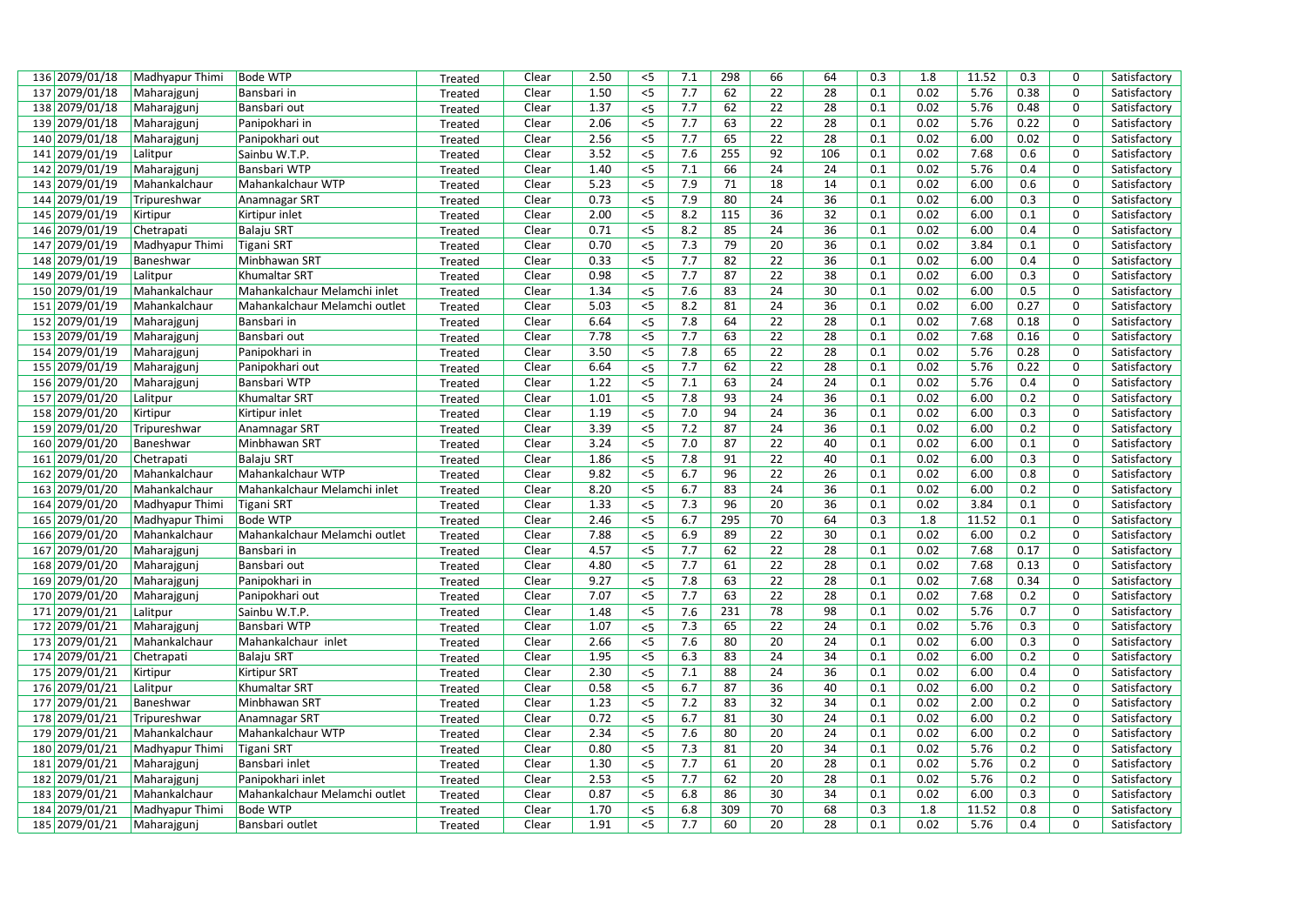| 136 2079/01/18                   | Madhyapur Thimi         | <b>Bode WTP</b>               | Treated            | Clear | 2.50 | $<$ 5 | 7.1 | 298 | 66              | 64  | 0.3 | 1.8  | 11.52 | 0.3  | 0              | Satisfactory                 |
|----------------------------------|-------------------------|-------------------------------|--------------------|-------|------|-------|-----|-----|-----------------|-----|-----|------|-------|------|----------------|------------------------------|
| 137 2079/01/18                   | Maharajgunj             | Bansbari in                   | Treated            | Clear | 1.50 | $<$ 5 | 7.7 | 62  | 22              | 28  | 0.1 | 0.02 | 5.76  | 0.38 | $\Omega$       | Satisfactory                 |
| 138 2079/01/18                   | Maharajgunj             | Bansbari out                  | Treated            | Clear | 1.37 | $<$ 5 | 7.7 | 62  | 22              | 28  | 0.1 | 0.02 | 5.76  | 0.48 | 0              | Satisfactory                 |
| 139 2079/01/18                   | Maharajgunj             | Panipokhari in                | Treated            | Clear | 2.06 | $<$ 5 | 7.7 | 63  | 22              | 28  | 0.1 | 0.02 | 5.76  | 0.22 | 0              | Satisfactory                 |
| 140 2079/01/18                   | Maharajgunj             | Panipokhari out               | Treated            | Clear | 2.56 | $< 5$ | 7.7 | 65  | 22              | 28  | 0.1 | 0.02 | 6.00  | 0.02 | 0              | Satisfactory                 |
| 141 2079/01/19                   | Lalitpur                | Sainbu W.T.P.                 | Treated            | Clear | 3.52 | $<$ 5 | 7.6 | 255 | 92              | 106 | 0.1 | 0.02 | 7.68  | 0.6  | 0              | Satisfactory                 |
| 142 2079/01/19                   | Maharajgunj             | Bansbari WTP                  | Treated            | Clear | 1.40 | $<$ 5 | 7.1 | 66  | 24              | 24  | 0.1 | 0.02 | 5.76  | 0.4  | 0              | Satisfactory                 |
| 143 2079/01/19                   | Mahankalchaur           | Mahankalchaur WTP             | Treated            | Clear | 5.23 | $< 5$ | 7.9 | 71  | 18              | 14  | 0.1 | 0.02 | 6.00  | 0.6  | 0              | Satisfactory                 |
| 144 2079/01/19                   | Tripureshwar            | Anamnagar SRT                 | Treated            | Clear | 0.73 | $< 5$ | 7.9 | 80  | 24              | 36  | 0.1 | 0.02 | 6.00  | 0.3  | $\overline{0}$ | Satisfactory                 |
| 145 2079/01/19                   | Kirtipur                | Kirtipur inlet                | Treated            | Clear | 2.00 | $<$ 5 | 8.2 | 115 | 36              | 32  | 0.1 | 0.02 | 6.00  | 0.1  | $\mathbf 0$    | Satisfactory                 |
| 146 2079/01/19                   | Chetrapati              | <b>Balaju SRT</b>             | Treated            | Clear | 0.71 | $< 5$ | 8.2 | 85  | 24              | 36  | 0.1 | 0.02 | 6.00  | 0.4  | 0              | Satisfactory                 |
| 147 2079/01/19                   | Madhyapur Thimi         | Tigani SRT                    | Treated            | Clear | 0.70 | $< 5$ | 7.3 | 79  | 20              | 36  | 0.1 | 0.02 | 3.84  | 0.1  | 0              | Satisfactory                 |
| 148 2079/01/19                   | Baneshwar               | Minbhawan SRT                 | Treated            | Clear | 0.33 | $< 5$ | 7.7 | 82  | $\overline{22}$ | 36  | 0.1 | 0.02 | 6.00  | 0.4  | $\overline{0}$ | Satisfactory                 |
| 149 2079/01/19                   | Lalitpur                | <b>Khumaltar SRT</b>          | Treated            | Clear | 0.98 | $<$ 5 | 7.7 | 87  | 22              | 38  | 0.1 | 0.02 | 6.00  | 0.3  | 0              | Satisfactory                 |
| 150 2079/01/19                   | Mahankalchaur           | Mahankalchaur Melamchi inlet  | Treated            | Clear | 1.34 | $< 5$ | 7.6 | 83  | 24              | 30  | 0.1 | 0.02 | 6.00  | 0.5  | $\mathbf 0$    | Satisfactory                 |
| 151 2079/01/19                   | Mahankalchaur           | Mahankalchaur Melamchi outlet | Treated            | Clear | 5.03 | $< 5$ | 8.2 | 81  | 24              | 36  | 0.1 | 0.02 | 6.00  | 0.27 | 0              | Satisfactory                 |
| 152 2079/01/19                   | Maharajgunj             | Bansbari in                   | Treated            | Clear | 6.64 | < 5   | 7.8 | 64  | 22              | 28  | 0.1 | 0.02 | 7.68  | 0.18 | 0              | Satisfactory                 |
| 153 2079/01/19                   | Maharajgunj             | Bansbari out                  | Treated            | Clear | 7.78 | $< 5$ | 7.7 | 63  | 22              | 28  | 0.1 | 0.02 | 7.68  | 0.16 | 0              | Satisfactory                 |
| 154 2079/01/19                   | Maharajgunj             | Panipokhari in                | Treated            | Clear | 3.50 | $< 5$ | 7.8 | 65  | 22              | 28  | 0.1 | 0.02 | 5.76  | 0.28 | $\mathbf 0$    | Satisfactory                 |
| 155 2079/01/19                   | Maharajgunj             | Panipokhari out               | Treated            | Clear | 6.64 | $<$ 5 | 7.7 | 62  | $\overline{22}$ | 28  | 0.1 | 0.02 | 5.76  | 0.22 | 0              | Satisfactory                 |
| 156 2079/01/20                   | Maharajgunj             | Bansbari WTP                  | Treated            | Clear | 1.22 | $5$   | 7.1 | 63  | 24              | 24  | 0.1 | 0.02 | 5.76  | 0.4  | $\overline{0}$ | Satisfactory                 |
| 157 2079/01/20                   | Lalitpur                | Khumaltar SRT                 |                    | Clear | 1.01 | $< 5$ | 7.8 | 93  | 24              | 36  | 0.1 | 0.02 | 6.00  | 0.2  | 0              | Satisfactory                 |
| 158 2079/01/20                   | Kirtipur                | Kirtipur inlet                | Treated<br>Treated | Clear | 1.19 | $5$   | 7.0 | 94  | 24              | 36  | 0.1 | 0.02 | 6.00  | 0.3  | 0              | Satisfactory                 |
| 159 2079/01/20                   | Tripureshwar            | Anamnagar SRT                 |                    | Clear | 3.39 | $<$ 5 | 7.2 | 87  | 24              | 36  | 0.1 | 0.02 | 6.00  | 0.2  | 0              | Satisfactory                 |
|                                  |                         | Minbhawan SRT                 | Treated            | Clear | 3.24 | $< 5$ | 7.0 | 87  | 22              | 40  | 0.1 | 0.02 | 6.00  | 0.1  | 0              |                              |
| 160 2079/01/20<br>161 2079/01/20 | Baneshwar<br>Chetrapati | <b>Balaju SRT</b>             | Treated            | Clear | 1.86 |       | 7.8 | 91  | 22              | 40  | 0.1 | 0.02 | 6.00  | 0.3  | 0              | Satisfactory<br>Satisfactory |
|                                  |                         | Mahankalchaur WTP             | Treated            |       | 9.82 | $<$ 5 |     | 96  | 22              | 26  | 0.1 |      |       | 0.8  | 0              |                              |
| 162 2079/01/20                   | Mahankalchaur           |                               | Treated            | Clear |      | $< 5$ | 6.7 |     |                 |     |     | 0.02 | 6.00  |      |                | Satisfactory                 |
| 163 2079/01/20                   | Mahankalchaur           | Mahankalchaur Melamchi inlet  | Treated            | Clear | 8.20 | $< 5$ | 6.7 | 83  | 24              | 36  | 0.1 | 0.02 | 6.00  | 0.2  | 0              | Satisfactory                 |
| 164 2079/01/20                   | Madhyapur Thimi         | <b>Tigani SRT</b>             | Treated            | Clear | 1.33 | $<$ 5 | 7.3 | 96  | 20              | 36  | 0.1 | 0.02 | 3.84  | 0.1  | 0              | Satisfactory                 |
| 165 2079/01/20                   | Madhyapur Thimi         | <b>Bode WTP</b>               | Treated            | Clear | 2.46 | $< 5$ | 6.7 | 295 | 70              | 64  | 0.3 | 1.8  | 11.52 | 0.1  | $\pmb{0}$      | Satisfactory                 |
| 166 2079/01/20                   | Mahankalchaur           | Mahankalchaur Melamchi outlet | Treated            | Clear | 7.88 | $< 5$ | 6.9 | 89  | 22              | 30  | 0.1 | 0.02 | 6.00  | 0.2  | 0              | Satisfactory                 |
| 167 2079/01/20                   | Maharajguni             | Bansbari in                   | Treated            | Clear | 4.57 | $< 5$ | 7.7 | 62  | 22              | 28  | 0.1 | 0.02 | 7.68  | 0.17 | 0              | Satisfactory                 |
| 168 2079/01/20                   | Maharajgunj             | Bansbari out                  | Treated            | Clear | 4.80 | $< 5$ | 7.7 | 61  | 22              | 28  | 0.1 | 0.02 | 7.68  | 0.13 | 0              | Satisfactory                 |
| 169 2079/01/20                   | Maharajgunj             | Panipokhari in                | Treated            | Clear | 9.27 | $<$ 5 | 7.8 | 63  | 22              | 28  | 0.1 | 0.02 | 7.68  | 0.34 | 0              | Satisfactory                 |
| 170 2079/01/20                   | Maharajgunj             | Panipokhari out               | Treated            | Clear | 7.07 | $<$ 5 | 7.7 | 63  | 22              | 28  | 0.1 | 0.02 | 7.68  | 0.2  | $\mathbf 0$    | Satisfactory                 |
| 171 2079/01/21                   | Lalitpur                | Sainbu W.T.P.                 | Treated            | Clear | 1.48 | $< 5$ | 7.6 | 231 | 78              | 98  | 0.1 | 0.02 | 5.76  | 0.7  | 0              | Satisfactory                 |
| 172 2079/01/21                   | Maharajgunj             | Bansbari WTP                  | Treated            | Clear | 1.07 | $< 5$ | 7.3 | 65  | 22              | 24  | 0.1 | 0.02 | 5.76  | 0.3  | 0              | Satisfactory                 |
| 173 2079/01/21                   | Mahankalchaur           | Mahankalchaur inlet           | Treated            | Clear | 2.66 | $< 5$ | 7.6 | 80  | 20              | 24  | 0.1 | 0.02 | 6.00  | 0.3  | $\pmb{0}$      | Satisfactory                 |
| 174 2079/01/21                   | Chetrapati              | <b>Balaju SRT</b>             | Treated            | Clear | 1.95 | $<$ 5 | 6.3 | 83  | 24              | 34  | 0.1 | 0.02 | 6.00  | 0.2  | 0              | Satisfactory                 |
| 175 2079/01/21                   | Kirtipur                | <b>Kirtipur SRT</b>           | Treated            | Clear | 2.30 | $<$ 5 | 7.1 | 88  | 24              | 36  | 0.1 | 0.02 | 6.00  | 0.4  | $\pmb{0}$      | Satisfactory                 |
| 176 2079/01/21                   | Lalitpur                | <b>Khumaltar SRT</b>          | Treated            | Clear | 0.58 | $< 5$ | 6.7 | 87  | 36              | 40  | 0.1 | 0.02 | 6.00  | 0.2  | $\mathbf 0$    | Satisfactory                 |
| 177 2079/01/21                   | Baneshwar               | Minbhawan SRT                 | Treated            | Clear | 1.23 | $< 5$ | 7.2 | 83  | 32              | 34  | 0.1 | 0.02 | 2.00  | 0.2  | $\mathbf 0$    | Satisfactory                 |
| 178 2079/01/21                   | Tripureshwar            | Anamnagar SRT                 | Treated            | Clear | 0.72 | $< 5$ | 6.7 | 81  | 30              | 24  | 0.1 | 0.02 | 6.00  | 0.2  | 0              | Satisfactory                 |
| 179 2079/01/21                   | Mahankalchaur           | Mahankalchaur WTP             | Treated            | Clear | 2.34 | $<$ 5 | 7.6 | 80  | 20              | 24  | 0.1 | 0.02 | 6.00  | 0.2  | 0              | Satisfactory                 |
| 180 2079/01/21                   | Madhyapur Thimi         | Tigani SRT                    | Treated            | Clear | 0.80 | $< 5$ | 7.3 | 81  | 20              | 34  | 0.1 | 0.02 | 5.76  | 0.2  | 0              | Satisfactory                 |
| 181 2079/01/21                   | Maharajgunj             | Bansbari inlet                | Treated            | Clear | 1.30 | $<$ 5 | 7.7 | 61  | 20              | 28  | 0.1 | 0.02 | 5.76  | 0.2  | 0              | Satisfactory                 |
| 182 2079/01/21                   | Maharajgunj             | Panipokhari inlet             | Treated            | Clear | 2.53 | $<$ 5 | 7.7 | 62  | 20              | 28  | 0.1 | 0.02 | 5.76  | 0.2  | $\mathbf 0$    | Satisfactory                 |
| 183 2079/01/21                   | Mahankalchaur           | Mahankalchaur Melamchi outlet | Treated            | Clear | 0.87 | $< 5$ | 6.8 | 86  | 30              | 34  | 0.1 | 0.02 | 6.00  | 0.3  | 0              | Satisfactory                 |
| 184 2079/01/21                   | Madhyapur Thimi         | <b>Bode WTP</b>               | Treated            | Clear | 1.70 | $<$ 5 | 6.8 | 309 | 70              | 68  | 0.3 | 1.8  | 11.52 | 0.8  | 0              | Satisfactory                 |
| 185 2079/01/21                   | Maharajgunj             | Bansbari outlet               | Treated            | Clear | 1.91 | $<$ 5 | 7.7 | 60  | 20              | 28  | 0.1 | 0.02 | 5.76  | 0.4  | $\Omega$       | Satisfactory                 |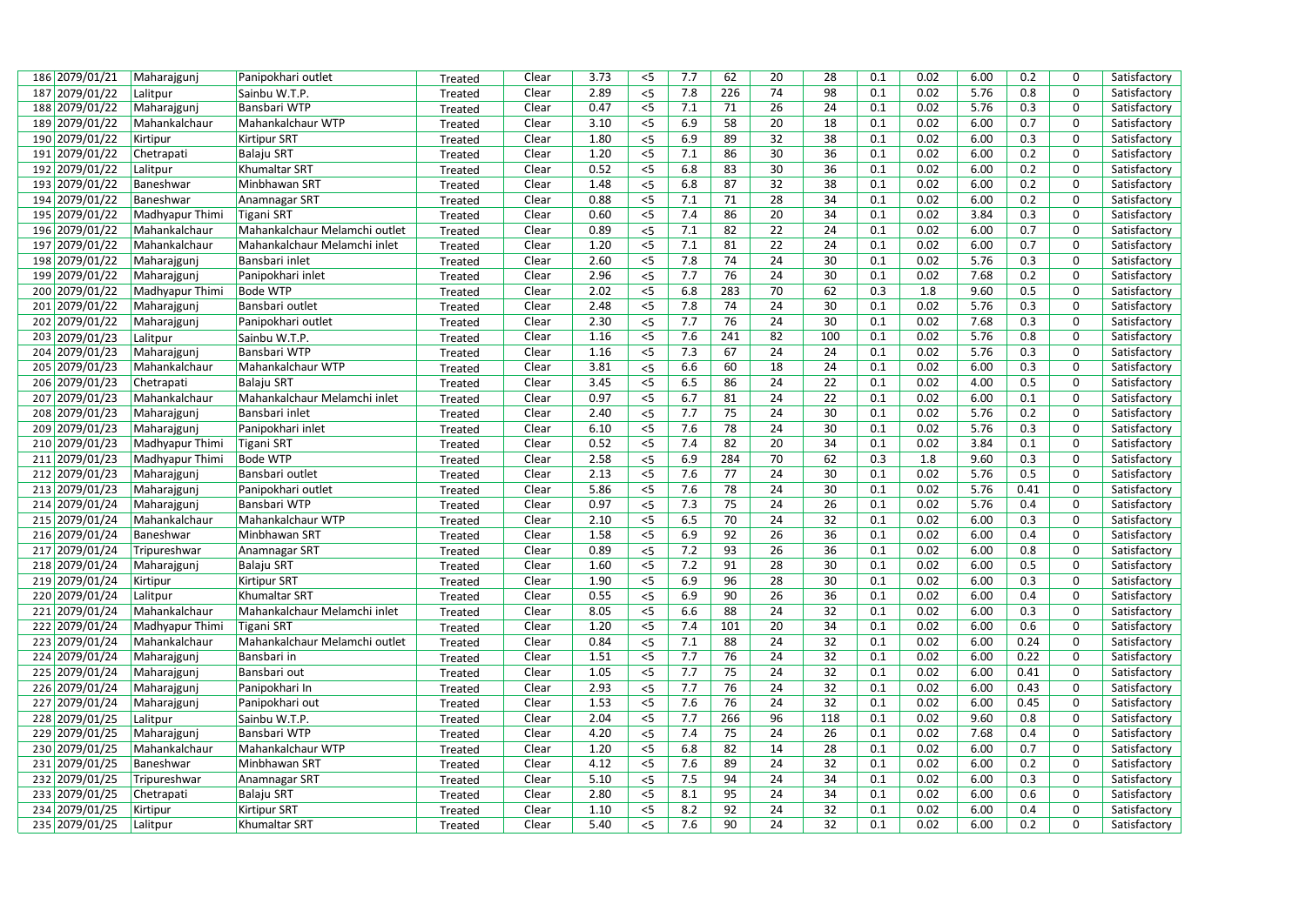| 186 2079/01/21 | Maharajgunj             | Panipokhari outlet                 | Treated | Clear | 3.73         | $<$ 5          | 7.7        | 62  | 20 | 28  | 0.1        | 0.02         | 6.00         | 0.2        | 0              | Satisfactory |
|----------------|-------------------------|------------------------------------|---------|-------|--------------|----------------|------------|-----|----|-----|------------|--------------|--------------|------------|----------------|--------------|
| 187 2079/01/22 | Lalitpur                | Sainbu W.T.P.                      | Treated | Clear | 2.89         | $<$ 5          | 7.8        | 226 | 74 | 98  | 0.1        | 0.02         | 5.76         | 0.8        | $\mathbf 0$    | Satisfactory |
| 188 2079/01/22 | Maharajgunj             | Bansbari WTP                       | Treated | Clear | 0.47         | $< 5$          | 7.1        | 71  | 26 | 24  | 0.1        | 0.02         | 5.76         | 0.3        | 0              | Satisfactory |
| 189 2079/01/22 | Mahankalchaur           | Mahankalchaur WTP                  | Treated | Clear | 3.10         | $<$ 5          | 6.9        | 58  | 20 | 18  | 0.1        | 0.02         | 6.00         | 0.7        | 0              | Satisfactory |
| 190 2079/01/22 | Kirtipur                | <b>Kirtipur SRT</b>                | Treated | Clear | 1.80         | $<$ 5          | 6.9        | 89  | 32 | 38  | 0.1        | 0.02         | 6.00         | 0.3        | 0              | Satisfactory |
| 191 2079/01/22 | Chetrapati              | <b>Balaju SRT</b>                  | Treated | Clear | 1.20         | $< 5$          | 7.1        | 86  | 30 | 36  | 0.1        | 0.02         | 6.00         | 0.2        | 0              | Satisfactory |
| 192 2079/01/22 | Lalitpur                | Khumaltar SRT                      | Treated | Clear | 0.52         | $<$ 5          | 6.8        | 83  | 30 | 36  | 0.1        | 0.02         | 6.00         | 0.2        | 0              | Satisfactory |
| 193 2079/01/22 | Baneshwar               | Minbhawan SRT                      | Treated | Clear | 1.48         | $<$ 5          | 6.8        | 87  | 32 | 38  | 0.1        | 0.02         | 6.00         | 0.2        | 0              | Satisfactory |
| 194 2079/01/22 | Baneshwar               | Anamnagar SRT                      | Treated | Clear | 0.88         | $<$ 5          | 7.1        | 71  | 28 | 34  | 0.1        | 0.02         | 6.00         | 0.2        | 0              | Satisfactory |
| 195 2079/01/22 | Madhyapur Thimi         | Tigani SRT                         | Treated | Clear | 0.60         | $< 5$          | 7.4        | 86  | 20 | 34  | 0.1        | 0.02         | 3.84         | 0.3        | $\mathbf 0$    | Satisfactory |
| 196 2079/01/22 | Mahankalchaur           | Mahankalchaur Melamchi outlet      | Treated | Clear | 0.89         | $<$ 5          | 7.1        | 82  | 22 | 24  | 0.1        | 0.02         | 6.00         | 0.7        | 0              | Satisfactory |
| 197 2079/01/22 | Mahankalchaur           | Mahankalchaur Melamchi inlet       | Treated | Clear | 1.20         | $<$ 5          | 7.1        | 81  | 22 | 24  | 0.1        | 0.02         | 6.00         | 0.7        | 0              | Satisfactory |
| 198 2079/01/22 | Maharajgunj             | Bansbari inlet                     | Treated | Clear | 2.60         | $<$ 5          | 7.8        | 74  | 24 | 30  | 0.1        | 0.02         | 5.76         | 0.3        | $\overline{0}$ | Satisfactory |
| 199 2079/01/22 | Maharajgunj             | Panipokhari inlet                  | Treated | Clear | 2.96         | $<$ 5          | 7.7        | 76  | 24 | 30  | 0.1        | 0.02         | 7.68         | 0.2        | 0              | Satisfactory |
| 200 2079/01/22 | Madhyapur Thimi         | <b>Bode WTP</b>                    | Treated | Clear | 2.02         | $<$ 5          | 6.8        | 283 | 70 | 62  | 0.3        | 1.8          | 9.60         | 0.5        | $\mathbf 0$    | Satisfactory |
| 201 2079/01/22 | Maharajgunj             | Bansbari outlet                    | Treated | Clear | 2.48         | $<$ 5          | 7.8        | 74  | 24 | 30  | 0.1        | 0.02         | 5.76         | 0.3        | 0              | Satisfactory |
| 202 2079/01/22 | Maharajgunj             | Panipokhari outlet                 | Treated | Clear | 2.30         | $<$ 5          | 7.7        | 76  | 24 | 30  | 0.1        | 0.02         | 7.68         | 0.3        | 0              | Satisfactory |
| 203 2079/01/23 | Lalitpur                | Sainbu W.T.P.                      | Treated | Clear | 1.16         | $<$ 5          | 7.6        | 241 | 82 | 100 | 0.1        | 0.02         | 5.76         | 0.8        | 0              | Satisfactory |
| 204 2079/01/23 | Maharajgunj             | Bansbari WTP                       | Treated | Clear | 1.16         | $<$ 5          | 7.3        | 67  | 24 | 24  | 0.1        | 0.02         | 5.76         | 0.3        | $\mathbf 0$    | Satisfactory |
| 205 2079/01/23 | Mahankalchaur           | Mahankalchaur WTP                  | Treated | Clear | 3.81         | $<$ 5          | 6.6        | 60  | 18 | 24  | 0.1        | 0.02         | 6.00         | 0.3        | 0              | Satisfactory |
| 206 2079/01/23 | Chetrapati              | <b>Balaju SRT</b>                  | Treated | Clear | 3.45         | $< 5$          | 6.5        | 86  | 24 | 22  | 0.1        | 0.02         | 4.00         | 0.5        | 0              | Satisfactory |
| 207 2079/01/23 | Mahankalchaur           | Mahankalchaur Melamchi inlet       | Treated | Clear | 0.97         | $\overline{5}$ | 6.7        | 81  | 24 | 22  | 0.1        | 0.02         | 6.00         | 0.1        | 0              | Satisfactory |
| 208 2079/01/23 | Maharajgunj             | Bansbari inlet                     | Treated | Clear | 2.40         | $<$ 5          | 7.7        | 75  | 24 | 30  | 0.1        | 0.02         | 5.76         | 0.2        | 0              | Satisfactory |
| 209 2079/01/23 | Maharajgunj             | Panipokhari inlet                  | Treated | Clear | 6.10         | $<$ 5          | 7.6        | 78  | 24 | 30  | 0.1        | 0.02         | 5.76         | 0.3        | $\mathbf 0$    | Satisfactory |
| 210 2079/01/23 | Madhyapur Thimi         | <b>Tigani SRT</b>                  | Treated | Clear | 0.52         | $< 5$          | 7.4        | 82  | 20 | 34  | 0.1        | 0.02         | 3.84         | 0.1        | 0              | Satisfactory |
| 211 2079/01/23 | Madhyapur Thimi         | <b>Bode WTP</b>                    | Treated | Clear | 2.58         | $<$ 5          | 6.9        | 284 | 70 | 62  | 0.3        | 1.8          | 9.60         | 0.3        | 0              | Satisfactory |
| 212 2079/01/23 | Maharajgunj             | Bansbari outlet                    | Treated | Clear | 2.13         | $<$ 5          | 7.6        | 77  | 24 | 30  | 0.1        | 0.02         | 5.76         | 0.5        | 0              | Satisfactory |
| 213 2079/01/23 | Maharajgunj             | Panipokhari outlet                 | Treated | Clear | 5.86         | $<$ 5          | 7.6        | 78  | 24 | 30  | 0.1        | 0.02         | 5.76         | 0.41       | 0              | Satisfactory |
| 214 2079/01/24 | Maharajgunj             | Bansbari WTP                       | Treated | Clear | 0.97         | $\overline{5}$ | 7.3        | 75  | 24 | 26  | 0.1        | 0.02         | 5.76         | 0.4        | 0              | Satisfactory |
| 215 2079/01/24 | Mahankalchaur           | Mahankalchaur WTP                  | Treated | Clear | 2.10         | $<$ 5          | 6.5        | 70  | 24 | 32  | 0.1        | 0.02         | 6.00         | 0.3        | $\pmb{0}$      | Satisfactory |
| 216 2079/01/24 | Baneshwar               | Minbhawan SRT                      | Treated | Clear | 1.58         | $<$ 5          | 6.9        | 92  | 26 | 36  | 0.1        | 0.02         | 6.00         | 0.4        | 0              | Satisfactory |
| 217 2079/01/24 | Tripureshwar            | Anamnagar SRT                      | Treated | Clear | 0.89         | $< 5$          | 7.2        | 93  | 26 | 36  | 0.1        | 0.02         | 6.00         | 0.8        | 0              | Satisfactory |
| 218 2079/01/24 | Maharajgunj             | <b>Balaju SRT</b>                  | Treated | Clear | 1.60         | $<$ 5          | 7.2        | 91  | 28 | 30  | 0.1        | 0.02         | 6.00         | 0.5        | 0              | Satisfactory |
| 219 2079/01/24 | Kirtipur                | <b>Kirtipur SRT</b>                | Treated | Clear | 1.90         | $<$ 5          | 6.9        | 96  | 28 | 30  | 0.1        | 0.02         | 6.00         | 0.3        | 0              | Satisfactory |
| 220 2079/01/24 | Lalitpur                | Khumaltar SRT                      | Treated | Clear | 0.55         | $\overline{5}$ | 6.9        | 90  | 26 | 36  | 0.1        | 0.02         | 6.00         | 0.4        | $\mathbf 0$    | Satisfactory |
| 221 2079/01/24 | Mahankalchaur           | Mahankalchaur Melamchi inlet       | Treated | Clear | 8.05         | $<$ 5          | 6.6        | 88  | 24 | 32  | 0.1        | 0.02         | 6.00         | 0.3        | 0              | Satisfactory |
| 222 2079/01/24 | Madhyapur Thimi         | <b>Tigani SRT</b>                  | Treated | Clear | 1.20         | $<$ 5          | 7.4        | 101 | 20 | 34  | 0.1        | 0.02         | 6.00         | 0.6        | 0              | Satisfactory |
| 223 2079/01/24 | Mahankalchaur           | Mahankalchaur Melamchi outlet      | Treated | Clear | 0.84         | $<$ 5          | 7.1        | 88  | 24 | 32  | 0.1        | 0.02         | 6.00         | 0.24       | $\mathbf 0$    | Satisfactory |
| 224 2079/01/24 | Maharajgunj             | Bansbari in                        | Treated | Clear | 1.51         | $<$ 5          | 7.7        | 76  | 24 | 32  | 0.1        | 0.02         | 6.00         | 0.22       | 0              | Satisfactory |
| 225 2079/01/24 | Maharajgunj             | Bansbari out                       | Treated | Clear | 1.05         | $<$ 5          | 7.7        | 75  | 24 | 32  | 0.1        | 0.02         | 6.00         | 0.41       | 0              | Satisfactory |
| 226 2079/01/24 | Maharajgunj             | Panipokhari In                     | Treated | Clear | 2.93         | $<$ 5          | 7.7        | 76  | 24 | 32  | 0.1        | 0.02         | 6.00         | 0.43       | $\mathbf 0$    | Satisfactory |
| 227 2079/01/24 | Maharajgunj             | Panipokhari out                    |         | Clear | 1.53         | $<$ 5          | 7.6        | 76  | 24 | 32  | 0.1        | 0.02         | 6.00         | 0.45       | 0              | Satisfactory |
| 228 2079/01/25 |                         | Sainbu W.T.P.                      | Treated | Clear | 2.04         | $<$ 5          | 7.7        | 266 | 96 | 118 | 0.1        | 0.02         | 9.60         | 0.8        | 0              | Satisfactory |
| 229 2079/01/25 | Lalitpur<br>Maharajgunj | Bansbari WTP                       | Treated | Clear | 4.20         | $<$ 5          | 7.4        | 75  | 24 | 26  | 0.1        | 0.02         | 7.68         | 0.4        | 0              | Satisfactory |
| 230 2079/01/25 |                         |                                    | Treated |       |              | $<$ 5          |            | 82  | 14 | 28  | 0.1        |              |              |            | 0              |              |
|                | Mahankalchaur           | Mahankalchaur WTP<br>Minbhawan SRT | Treated | Clear | 1.20         | $<$ 5          | 6.8        | 89  | 24 | 32  |            | 0.02<br>0.02 | 6.00         | 0.7        | 0              | Satisfactory |
| 231 2079/01/25 | Baneshwar               |                                    | Treated | Clear | 4.12<br>5.10 |                | 7.6<br>7.5 | 94  | 24 | 34  | 0.1<br>0.1 | 0.02         | 6.00<br>6.00 | 0.2<br>0.3 | $\mathbf 0$    | Satisfactory |
| 232 2079/01/25 | Tripureshwar            | Anamnagar SRT                      | Treated | Clear | 2.80         | $< 5$<br>$< 5$ | 8.1        | 95  | 24 | 34  | 0.1        | 0.02         |              | 0.6        | 0              | Satisfactory |
| 233 2079/01/25 | Chetrapati              | <b>Balaju SRT</b>                  | Treated | Clear |              |                |            |     |    |     |            |              | 6.00         |            | 0              | Satisfactory |
| 234 2079/01/25 | Kirtipur                | <b>Kirtipur SRT</b>                | Treated | Clear | 1.10         | $<$ 5          | 8.2        | 92  | 24 | 32  | 0.1        | 0.02         | 6.00         | 0.4        |                | Satisfactory |
| 235 2079/01/25 | Lalitpur                | <b>Khumaltar SRT</b>               | Treated | Clear | 5.40         | $<$ 5          | 7.6        | 90  | 24 | 32  | 0.1        | 0.02         | 6.00         | 0.2        | $\Omega$       | Satisfactory |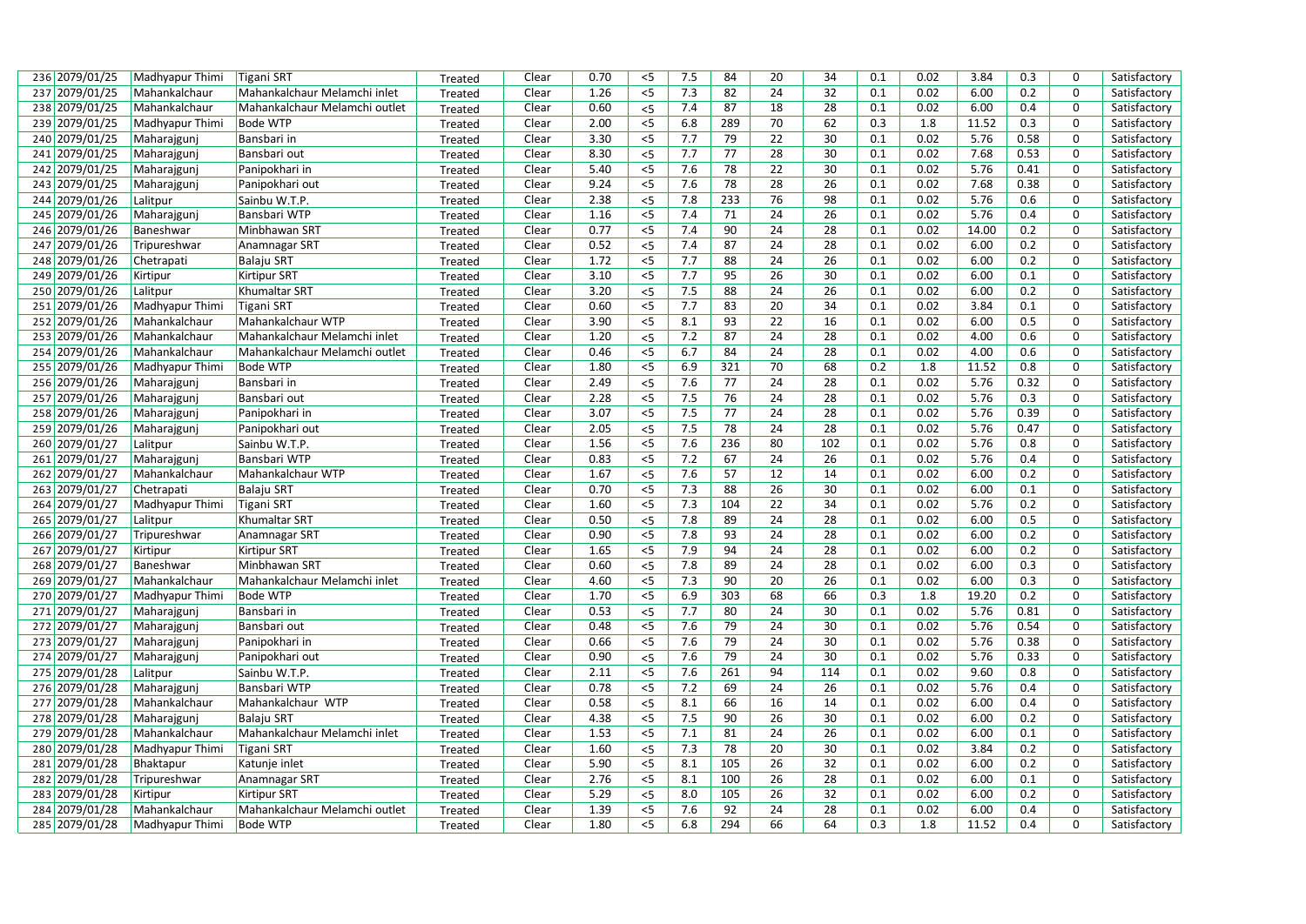| 236 2079/01/25 | Madhyapur Thimi | Tigani SRT                    | Treated | Clear | 0.70 | $<$ 5 | 7.5 | 84              | 20 | 34  | 0.1 | 0.02 | 3.84  | 0.3  | 0                | Satisfactory |
|----------------|-----------------|-------------------------------|---------|-------|------|-------|-----|-----------------|----|-----|-----|------|-------|------|------------------|--------------|
| 237 2079/01/25 | Mahankalchaur   | Mahankalchaur Melamchi inlet  | Treated | Clear | 1.26 | $<$ 5 | 7.3 | 82              | 24 | 32  | 0.1 | 0.02 | 6.00  | 0.2  | $\mathbf 0$      | Satisfactory |
| 238 2079/01/25 | Mahankalchaur   | Mahankalchaur Melamchi outlet | Treated | Clear | 0.60 | $<$ 5 | 7.4 | 87              | 18 | 28  | 0.1 | 0.02 | 6.00  | 0.4  | $\mathbf 0$      | Satisfactory |
| 239 2079/01/25 | Madhyapur Thimi | Bode WTP                      | Treated | Clear | 2.00 | $5$   | 6.8 | 289             | 70 | 62  | 0.3 | 1.8  | 11.52 | 0.3  | $\mathbf 0$      | Satisfactory |
| 240 2079/01/25 | Maharajgunj     | Bansbari in                   | Treated | Clear | 3.30 | $<$ 5 | 7.7 | 79              | 22 | 30  | 0.1 | 0.02 | 5.76  | 0.58 | $\mathbf 0$      | Satisfactory |
| 241 2079/01/25 | Maharajgunj     | Bansbari out                  | Treated | Clear | 8.30 | $<$ 5 | 7.7 | 77              | 28 | 30  | 0.1 | 0.02 | 7.68  | 0.53 | $\mathbf 0$      | Satisfactory |
| 242 2079/01/25 | Maharajgunj     | Panipokhari in                | Treated | Clear | 5.40 | $<$ 5 | 7.6 | 78              | 22 | 30  | 0.1 | 0.02 | 5.76  | 0.41 | $\mathbf 0$      | Satisfactory |
| 243 2079/01/25 | Maharajgunj     | Panipokhari out               | Treated | Clear | 9.24 | $<$ 5 | 7.6 | 78              | 28 | 26  | 0.1 | 0.02 | 7.68  | 0.38 | 0                | Satisfactory |
| 244 2079/01/26 | Lalitpur        | Sainbu W.T.P.                 | Treated | Clear | 2.38 | $<$ 5 | 7.8 | 233             | 76 | 98  | 0.1 | 0.02 | 5.76  | 0.6  | $\mathbf 0$      | Satisfactory |
| 245 2079/01/26 | Maharajgunj     | Bansbari WTP                  | Treated | Clear | 1.16 | $<$ 5 | 7.4 | 71              | 24 | 26  | 0.1 | 0.02 | 5.76  | 0.4  | $\mathbf 0$      | Satisfactory |
| 246 2079/01/26 | Baneshwar       | Minbhawan SRT                 | Treated | Clear | 0.77 | $< 5$ | 7.4 | 90              | 24 | 28  | 0.1 | 0.02 | 14.00 | 0.2  | $\mathbf 0$      | Satisfactory |
| 247 2079/01/26 | Tripureshwar    | Anamnagar SRT                 | Treated | Clear | 0.52 | $<$ 5 | 7.4 | 87              | 24 | 28  | 0.1 | 0.02 | 6.00  | 0.2  | $\mathbf 0$      | Satisfactory |
| 248 2079/01/26 | Chetrapati      | <b>Balaju SRT</b>             | Treated | Clear | 1.72 | $<$ 5 | 7.7 | 88              | 24 | 26  | 0.1 | 0.02 | 6.00  | 0.2  | $\mathbf 0$      | Satisfactory |
| 249 2079/01/26 | Kirtipur        | <b>Kirtipur SRT</b>           | Treated | Clear | 3.10 | 5     | 7.7 | 95              | 26 | 30  | 0.1 | 0.02 | 6.00  | 0.1  | 0                | Satisfactory |
| 250 2079/01/26 | Lalitpur        | Khumaltar SRT                 | Treated | Clear | 3.20 | $<$ 5 | 7.5 | 88              | 24 | 26  | 0.1 | 0.02 | 6.00  | 0.2  | $\mathbf 0$      | Satisfactory |
| 251 2079/01/26 | Madhyapur Thimi | <b>Tigani SRT</b>             | Treated | Clear | 0.60 | 5     | 7.7 | 83              | 20 | 34  | 0.1 | 0.02 | 3.84  | 0.1  | $\mathbf 0$      | Satisfactory |
| 252 2079/01/26 | Mahankalchaur   | Mahankalchaur WTP             | Treated | Clear | 3.90 | $<$ 5 | 8.1 | 93              | 22 | 16  | 0.1 | 0.02 | 6.00  | 0.5  | $\mathbf 0$      | Satisfactory |
| 253 2079/01/26 | Mahankalchaur   | Mahankalchaur Melamchi inlet  | Treated | Clear | 1.20 | $<$ 5 | 7.2 | 87              | 24 | 28  | 0.1 | 0.02 | 4.00  | 0.6  | $\mathbf 0$      | Satisfactory |
| 254 2079/01/26 | Mahankalchaur   | Mahankalchaur Melamchi outlet | Treated | Clear | 0.46 | 5     | 6.7 | 84              | 24 | 28  | 0.1 | 0.02 | 4.00  | 0.6  | $\mathbf 0$      | Satisfactory |
| 255 2079/01/26 | Madhyapur Thimi | Bode WTP                      | Treated | Clear | 1.80 | $<$ 5 | 6.9 | 321             | 70 | 68  | 0.2 | 1.8  | 11.52 | 0.8  | $\pmb{0}$        | Satisfactory |
| 256 2079/01/26 | Maharajgunj     | Bansbari in                   | Treated | Clear | 2.49 | $<$ 5 | 7.6 | 77              | 24 | 28  | 0.1 | 0.02 | 5.76  | 0.32 | $\mathbf 0$      | Satisfactory |
| 257 2079/01/26 | Maharajgunj     | Bansbari out                  | Treated | Clear | 2.28 | $<$ 5 | 7.5 | 76              | 24 | 28  | 0.1 | 0.02 | 5.76  | 0.3  | $\mathbf 0$      | Satisfactory |
| 258 2079/01/26 | Maharajgunj     | Panipokhari in                | Treated | Clear | 3.07 | $<$ 5 | 7.5 | $77 \,$         | 24 | 28  | 0.1 | 0.02 | 5.76  | 0.39 | $\mathbf 0$      | Satisfactory |
| 259 2079/01/26 | Maharajgunj     | Panipokhari out               | Treated | Clear | 2.05 | $<$ 5 | 7.5 | $\overline{78}$ | 24 | 28  | 0.1 | 0.02 | 5.76  | 0.47 | 0                | Satisfactory |
| 260 2079/01/27 | Lalitpur        | Sainbu W.T.P.                 | Treated | Clear | 1.56 | $<$ 5 | 7.6 | 236             | 80 | 102 | 0.1 | 0.02 | 5.76  | 0.8  | $\mathbf 0$      | Satisfactory |
| 261 2079/01/27 | Maharajgunj     | Bansbari WTP                  | Treated | Clear | 0.83 | $<$ 5 | 7.2 | 67              | 24 | 26  | 0.1 | 0.02 | 5.76  | 0.4  | $\mathbf 0$      | Satisfactory |
| 262 2079/01/27 | Mahankalchaur   | Mahankalchaur WTP             | Treated | Clear | 1.67 | $<$ 5 | 7.6 | 57              | 12 | 14  | 0.1 | 0.02 | 6.00  | 0.2  | $\mathbf 0$      | Satisfactory |
| 263 2079/01/27 | Chetrapati      | <b>Balaju SRT</b>             | Treated | Clear | 0.70 | $<$ 5 | 7.3 | 88              | 26 | 30  | 0.1 | 0.02 | 6.00  | 0.1  | $\boldsymbol{0}$ | Satisfactory |
| 264 2079/01/27 | Madhyapur Thimi | <b>Tigani SRT</b>             | Treated | Clear | 1.60 | $<$ 5 | 7.3 | 104             | 22 | 34  | 0.1 | 0.02 | 5.76  | 0.2  | 0                | Satisfactory |
| 265 2079/01/27 | Lalitpur        | Khumaltar SRT                 | Treated | Clear | 0.50 | $5$   | 7.8 | 89              | 24 | 28  | 0.1 | 0.02 | 6.00  | 0.5  | 0                | Satisfactory |
| 266 2079/01/27 | Tripureshwar    | Anamnagar SRT                 | Treated | Clear | 0.90 | $<$ 5 | 7.8 | 93              | 24 | 28  | 0.1 | 0.02 | 6.00  | 0.2  | $\mathbf 0$      | Satisfactory |
| 267 2079/01/27 | Kirtipur        | <b>Kirtipur SRT</b>           | Treated | Clear | 1.65 | $< 5$ | 7.9 | 94              | 24 | 28  | 0.1 | 0.02 | 6.00  | 0.2  | $\mathbf 0$      | Satisfactory |
| 268 2079/01/27 | Baneshwar       | Minbhawan SRT                 | Treated | Clear | 0.60 | $5$   | 7.8 | 89              | 24 | 28  | 0.1 | 0.02 | 6.00  | 0.3  | $\mathbf 0$      | Satisfactory |
| 269 2079/01/27 | Mahankalchaur   | Mahankalchaur Melamchi inlet  | Treated | Clear | 4.60 | $<$ 5 | 7.3 | 90              | 20 | 26  | 0.1 | 0.02 | 6.00  | 0.3  | $\mathbf 0$      | Satisfactory |
| 270 2079/01/27 | Madhyapur Thimi | <b>Bode WTP</b>               | Treated | Clear | 1.70 | $<$ 5 | 6.9 | 303             | 68 | 66  | 0.3 | 1.8  | 19.20 | 0.2  | $\mathbf 0$      | Satisfactory |
| 271 2079/01/27 | Maharajgunj     | Bansbari in                   | Treated | Clear | 0.53 | $< 5$ | 7.7 | 80              | 24 | 30  | 0.1 | 0.02 | 5.76  | 0.81 | $\mathbf 0$      | Satisfactory |
| 272 2079/01/27 | Maharajgunj     | Bansbari out                  | Treated | Clear | 0.48 | $<$ 5 | 7.6 | 79              | 24 | 30  | 0.1 | 0.02 | 5.76  | 0.54 | $\mathbf 0$      | Satisfactory |
| 273 2079/01/27 | Maharajgunj     | Panipokhari in                | Treated | Clear | 0.66 | $< 5$ | 7.6 | 79              | 24 | 30  | 0.1 | 0.02 | 5.76  | 0.38 | $\mathbf 0$      | Satisfactory |
| 274 2079/01/27 | Maharajgunj     | Panipokhari out               | Treated | Clear | 0.90 | $<$ 5 | 7.6 | 79              | 24 | 30  | 0.1 | 0.02 | 5.76  | 0.33 | $\mathbf 0$      | Satisfactory |
| 275 2079/01/28 | Lalitpur        | Sainbu W.T.P.                 | Treated | Clear | 2.11 | $<$ 5 | 7.6 | 261             | 94 | 114 | 0.1 | 0.02 | 9.60  | 0.8  | $\mathbf 0$      | Satisfactory |
| 276 2079/01/28 | Maharajgunj     | Bansbari WTP                  | Treated | Clear | 0.78 | $<$ 5 | 7.2 | 69              | 24 | 26  | 0.1 | 0.02 | 5.76  | 0.4  | $\mathbf 0$      | Satisfactory |
| 277 2079/01/28 | Mahankalchaur   | Mahankalchaur WTP             | Treated | Clear | 0.58 | $< 5$ | 8.1 | 66              | 16 | 14  | 0.1 | 0.02 | 6.00  | 0.4  | $\mathbf 0$      | Satisfactory |
| 278 2079/01/28 | Maharajgunj     | Balaju SRT                    | Treated | Clear | 4.38 | $<$ 5 | 7.5 | 90              | 26 | 30  | 0.1 | 0.02 | 6.00  | 0.2  | 0                | Satisfactory |
| 279 2079/01/28 | Mahankalchaur   | Mahankalchaur Melamchi inlet  | Treated | Clear | 1.53 | $<$ 5 | 7.1 | 81              | 24 | 26  | 0.1 | 0.02 | 6.00  | 0.1  | $\overline{0}$   | Satisfactory |
| 280 2079/01/28 | Madhyapur Thimi | Tigani SRT                    | Treated | Clear | 1.60 | $<$ 5 | 7.3 | 78              | 20 | 30  | 0.1 | 0.02 | 3.84  | 0.2  | 0                | Satisfactory |
| 281 2079/01/28 | Bhaktapur       | Katunje inlet                 | Treated | Clear | 5.90 | $<$ 5 | 8.1 | 105             | 26 | 32  | 0.1 | 0.02 | 6.00  | 0.2  | $\mathbf 0$      | Satisfactory |
| 282 2079/01/28 | Tripureshwar    | Anamnagar SRT                 | Treated | Clear | 2.76 | $<$ 5 | 8.1 | 100             | 26 | 28  | 0.1 | 0.02 | 6.00  | 0.1  | $\mathbf 0$      | Satisfactory |
| 283 2079/01/28 | Kirtipur        | <b>Kirtipur SRT</b>           | Treated | Clear | 5.29 | $<$ 5 | 8.0 | 105             | 26 | 32  | 0.1 | 0.02 | 6.00  | 0.2  | $\mathbf 0$      | Satisfactory |
| 284 2079/01/28 | Mahankalchaur   | Mahankalchaur Melamchi outlet | Treated | Clear | 1.39 | $<$ 5 | 7.6 | 92              | 24 | 28  | 0.1 | 0.02 | 6.00  | 0.4  | $\mathbf 0$      | Satisfactory |
| 285 2079/01/28 | Madhyapur Thimi | <b>Bode WTP</b>               | Treated | Clear | 1.80 | $<$ 5 | 6.8 | 294             | 66 | 64  | 0.3 | 1.8  | 11.52 | 0.4  | $\Omega$         | Satisfactory |
|                |                 |                               |         |       |      |       |     |                 |    |     |     |      |       |      |                  |              |